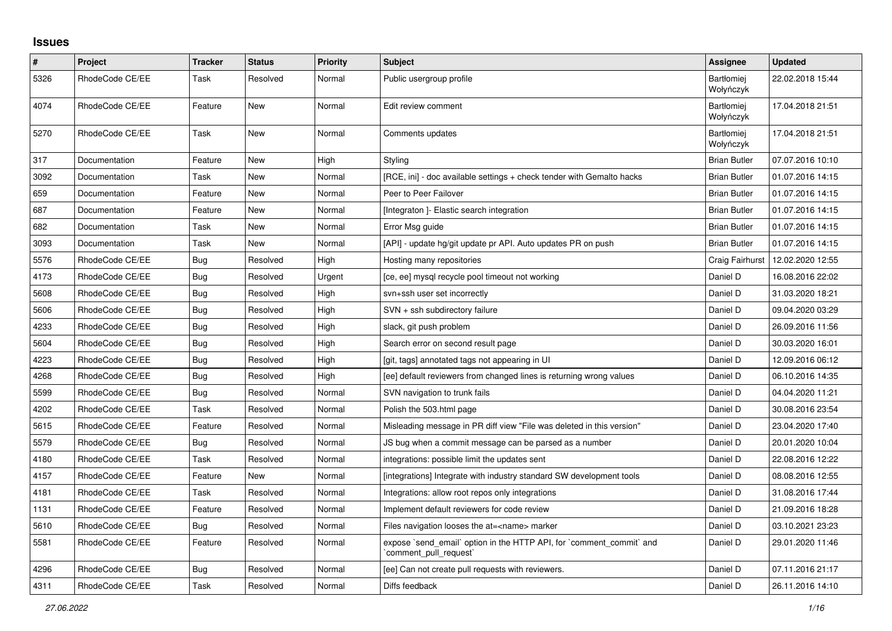## **Issues**

| $\pmb{\#}$ | Project         | <b>Tracker</b> | <b>Status</b> | <b>Priority</b> | <b>Subject</b>                                                                                 | Assignee                | <b>Updated</b>   |
|------------|-----------------|----------------|---------------|-----------------|------------------------------------------------------------------------------------------------|-------------------------|------------------|
| 5326       | RhodeCode CE/EE | Task           | Resolved      | Normal          | Public usergroup profile                                                                       | Bartłomiej<br>Wołyńczyk | 22.02.2018 15:44 |
| 4074       | RhodeCode CE/EE | Feature        | New           | Normal          | Edit review comment                                                                            | Bartłomiej<br>Wołyńczyk | 17.04.2018 21:51 |
| 5270       | RhodeCode CE/EE | Task           | New           | Normal          | Comments updates                                                                               | Bartłomiej<br>Wołyńczyk | 17.04.2018 21:51 |
| 317        | Documentation   | Feature        | <b>New</b>    | High            | Styling                                                                                        | <b>Brian Butler</b>     | 07.07.2016 10:10 |
| 3092       | Documentation   | Task           | New           | Normal          | [RCE, ini] - doc available settings + check tender with Gemalto hacks                          | <b>Brian Butler</b>     | 01.07.2016 14:15 |
| 659        | Documentation   | Feature        | New           | Normal          | Peer to Peer Failover                                                                          | <b>Brian Butler</b>     | 01.07.2016 14:15 |
| 687        | Documentation   | Feature        | New           | Normal          | [Integraton] - Elastic search integration                                                      | <b>Brian Butler</b>     | 01.07.2016 14:15 |
| 682        | Documentation   | Task           | New           | Normal          | Error Msg guide                                                                                | <b>Brian Butler</b>     | 01.07.2016 14:15 |
| 3093       | Documentation   | Task           | <b>New</b>    | Normal          | [API] - update hg/git update pr API. Auto updates PR on push                                   | <b>Brian Butler</b>     | 01.07.2016 14:15 |
| 5576       | RhodeCode CE/EE | Bug            | Resolved      | High            | Hosting many repositories                                                                      | Craig Fairhurst         | 12.02.2020 12:55 |
| 4173       | RhodeCode CE/EE | Bug            | Resolved      | Urgent          | [ce, ee] mysql recycle pool timeout not working                                                | Daniel D                | 16.08.2016 22:02 |
| 5608       | RhodeCode CE/EE | Bug            | Resolved      | High            | svn+ssh user set incorrectly                                                                   | Daniel D                | 31.03.2020 18:21 |
| 5606       | RhodeCode CE/EE | <b>Bug</b>     | Resolved      | High            | SVN + ssh subdirectory failure                                                                 | Daniel D                | 09.04.2020 03:29 |
| 4233       | RhodeCode CE/EE | <b>Bug</b>     | Resolved      | High            | slack, git push problem                                                                        | Daniel D                | 26.09.2016 11:56 |
| 5604       | RhodeCode CE/EE | Bug            | Resolved      | High            | Search error on second result page                                                             | Daniel D                | 30.03.2020 16:01 |
| 4223       | RhodeCode CE/EE | Bug            | Resolved      | High            | [git, tags] annotated tags not appearing in UI                                                 | Daniel D                | 12.09.2016 06:12 |
| 4268       | RhodeCode CE/EE | <b>Bug</b>     | Resolved      | High            | [ee] default reviewers from changed lines is returning wrong values                            | Daniel D                | 06.10.2016 14:35 |
| 5599       | RhodeCode CE/EE | Bug            | Resolved      | Normal          | SVN navigation to trunk fails                                                                  | Daniel D                | 04.04.2020 11:21 |
| 4202       | RhodeCode CE/EE | Task           | Resolved      | Normal          | Polish the 503.html page                                                                       | Daniel D                | 30.08.2016 23:54 |
| 5615       | RhodeCode CE/EE | Feature        | Resolved      | Normal          | Misleading message in PR diff view "File was deleted in this version"                          | Daniel D                | 23.04.2020 17:40 |
| 5579       | RhodeCode CE/EE | Bug            | Resolved      | Normal          | JS bug when a commit message can be parsed as a number                                         | Daniel D                | 20.01.2020 10:04 |
| 4180       | RhodeCode CE/EE | Task           | Resolved      | Normal          | integrations: possible limit the updates sent                                                  | Daniel D                | 22.08.2016 12:22 |
| 4157       | RhodeCode CE/EE | Feature        | <b>New</b>    | Normal          | [integrations] Integrate with industry standard SW development tools                           | Daniel D                | 08.08.2016 12:55 |
| 4181       | RhodeCode CE/EE | Task           | Resolved      | Normal          | Integrations: allow root repos only integrations                                               | Daniel D                | 31.08.2016 17:44 |
| 1131       | RhodeCode CE/EE | Feature        | Resolved      | Normal          | Implement default reviewers for code review                                                    | Daniel D                | 21.09.2016 18:28 |
| 5610       | RhodeCode CE/EE | Bug            | Resolved      | Normal          | Files navigation looses the at= <name> marker</name>                                           | Daniel D                | 03.10.2021 23:23 |
| 5581       | RhodeCode CE/EE | Feature        | Resolved      | Normal          | expose `send email` option in the HTTP API, for `comment commit` and<br>`comment_pull_request` | Daniel D                | 29.01.2020 11:46 |
| 4296       | RhodeCode CE/EE | Bug            | Resolved      | Normal          | [ee] Can not create pull requests with reviewers.                                              | Daniel D                | 07.11.2016 21:17 |
| 4311       | RhodeCode CE/EE | Task           | Resolved      | Normal          | Diffs feedback                                                                                 | Daniel D                | 26.11.2016 14:10 |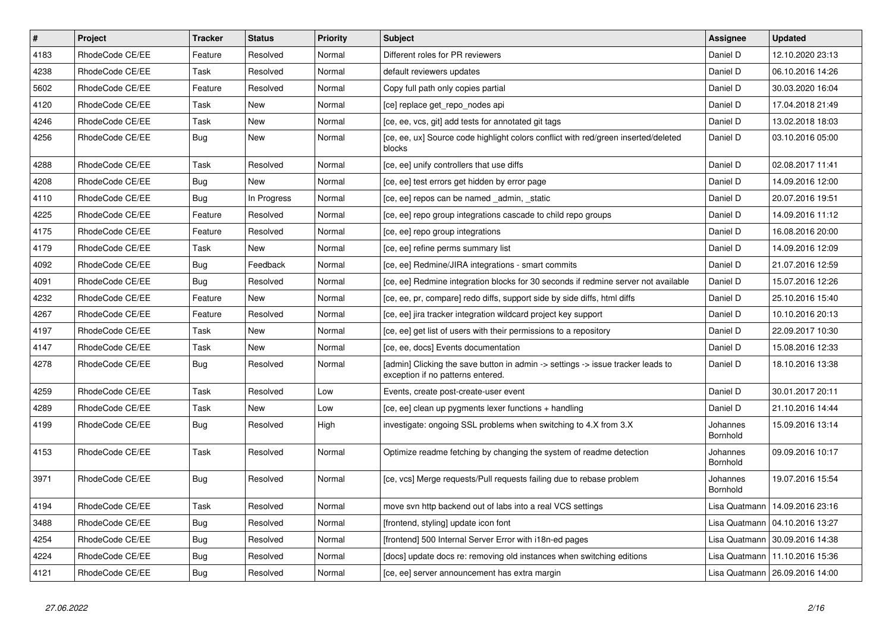| $\vert$ # | Project         | <b>Tracker</b> | <b>Status</b> | Priority | <b>Subject</b>                                                                                                       | <b>Assignee</b>      | <b>Updated</b>                   |
|-----------|-----------------|----------------|---------------|----------|----------------------------------------------------------------------------------------------------------------------|----------------------|----------------------------------|
| 4183      | RhodeCode CE/EE | Feature        | Resolved      | Normal   | Different roles for PR reviewers                                                                                     | Daniel D             | 12.10.2020 23:13                 |
| 4238      | RhodeCode CE/EE | Task           | Resolved      | Normal   | default reviewers updates                                                                                            | Daniel D             | 06.10.2016 14:26                 |
| 5602      | RhodeCode CE/EE | Feature        | Resolved      | Normal   | Copy full path only copies partial                                                                                   | Daniel D             | 30.03.2020 16:04                 |
| 4120      | RhodeCode CE/EE | Task           | <b>New</b>    | Normal   | [ce] replace get_repo_nodes api                                                                                      | Daniel D             | 17.04.2018 21:49                 |
| 4246      | RhodeCode CE/EE | Task           | <b>New</b>    | Normal   | [ce, ee, vcs, git] add tests for annotated git tags                                                                  | Daniel D             | 13.02.2018 18:03                 |
| 4256      | RhodeCode CE/EE | Bug            | <b>New</b>    | Normal   | [ce, ee, ux] Source code highlight colors conflict with red/green inserted/deleted<br>blocks                         | Daniel D             | 03.10.2016 05:00                 |
| 4288      | RhodeCode CE/EE | Task           | Resolved      | Normal   | [ce, ee] unify controllers that use diffs                                                                            | Daniel D             | 02.08.2017 11:41                 |
| 4208      | RhodeCode CE/EE | Bug            | <b>New</b>    | Normal   | [ce, ee] test errors get hidden by error page                                                                        | Daniel D             | 14.09.2016 12:00                 |
| 4110      | RhodeCode CE/EE | Bug            | In Progress   | Normal   | [ce, ee] repos can be named admin, static                                                                            | Daniel D             | 20.07.2016 19:51                 |
| 4225      | RhodeCode CE/EE | Feature        | Resolved      | Normal   | [ce, ee] repo group integrations cascade to child repo groups                                                        | Daniel D             | 14.09.2016 11:12                 |
| 4175      | RhodeCode CE/EE | Feature        | Resolved      | Normal   | [ce, ee] repo group integrations                                                                                     | Daniel D             | 16.08.2016 20:00                 |
| 4179      | RhodeCode CE/EE | Task           | New           | Normal   | [ce, ee] refine perms summary list                                                                                   | Daniel D             | 14.09.2016 12:09                 |
| 4092      | RhodeCode CE/EE | Bug            | Feedback      | Normal   | [ce, ee] Redmine/JIRA integrations - smart commits                                                                   | Daniel D             | 21.07.2016 12:59                 |
| 4091      | RhodeCode CE/EE | Bug            | Resolved      | Normal   | [ce, ee] Redmine integration blocks for 30 seconds if redmine server not available                                   | Daniel D             | 15.07.2016 12:26                 |
| 4232      | RhodeCode CE/EE | Feature        | <b>New</b>    | Normal   | [ce, ee, pr, compare] redo diffs, support side by side diffs, html diffs                                             | Daniel D             | 25.10.2016 15:40                 |
| 4267      | RhodeCode CE/EE | Feature        | Resolved      | Normal   | [ce, ee] jira tracker integration wildcard project key support                                                       | Daniel D             | 10.10.2016 20:13                 |
| 4197      | RhodeCode CE/EE | Task           | New           | Normal   | [ce, ee] get list of users with their permissions to a repository                                                    | Daniel D             | 22.09.2017 10:30                 |
| 4147      | RhodeCode CE/EE | Task           | <b>New</b>    | Normal   | [ce, ee, docs] Events documentation                                                                                  | Daniel D             | 15.08.2016 12:33                 |
| 4278      | RhodeCode CE/EE | Bug            | Resolved      | Normal   | [admin] Clicking the save button in admin -> settings -> issue tracker leads to<br>exception if no patterns entered. | Daniel D             | 18.10.2016 13:38                 |
| 4259      | RhodeCode CE/EE | Task           | Resolved      | Low      | Events, create post-create-user event                                                                                | Daniel D             | 30.01.2017 20:11                 |
| 4289      | RhodeCode CE/EE | Task           | New           | Low      | [ce, ee] clean up pygments lexer functions + handling                                                                | Daniel D             | 21.10.2016 14:44                 |
| 4199      | RhodeCode CE/EE | Bug            | Resolved      | High     | investigate: ongoing SSL problems when switching to 4.X from 3.X                                                     | Johannes<br>Bornhold | 15.09.2016 13:14                 |
| 4153      | RhodeCode CE/EE | Task           | Resolved      | Normal   | Optimize readme fetching by changing the system of readme detection                                                  | Johannes<br>Bornhold | 09.09.2016 10:17                 |
| 3971      | RhodeCode CE/EE | <b>Bug</b>     | Resolved      | Normal   | [ce, vcs] Merge requests/Pull requests failing due to rebase problem                                                 | Johannes<br>Bornhold | 19.07.2016 15:54                 |
| 4194      | RhodeCode CE/EE | Task           | Resolved      | Normal   | move svn http backend out of labs into a real VCS settings                                                           | Lisa Quatmann        | 14.09.2016 23:16                 |
| 3488      | RhodeCode CE/EE | Bug            | Resolved      | Normal   | [frontend, styling] update icon font                                                                                 |                      | Lisa Quatmann   04.10.2016 13:27 |
| 4254      | RhodeCode CE/EE | <b>Bug</b>     | Resolved      | Normal   | [frontend] 500 Internal Server Error with i18n-ed pages                                                              | Lisa Quatmann        | 30.09.2016 14:38                 |
| 4224      | RhodeCode CE/EE | Bug            | Resolved      | Normal   | [docs] update docs re: removing old instances when switching editions                                                | Lisa Quatmann        | 11.10.2016 15:36                 |
| 4121      | RhodeCode CE/EE | Bug            | Resolved      | Normal   | [ce, ee] server announcement has extra margin                                                                        |                      | Lisa Quatmann   26.09.2016 14:00 |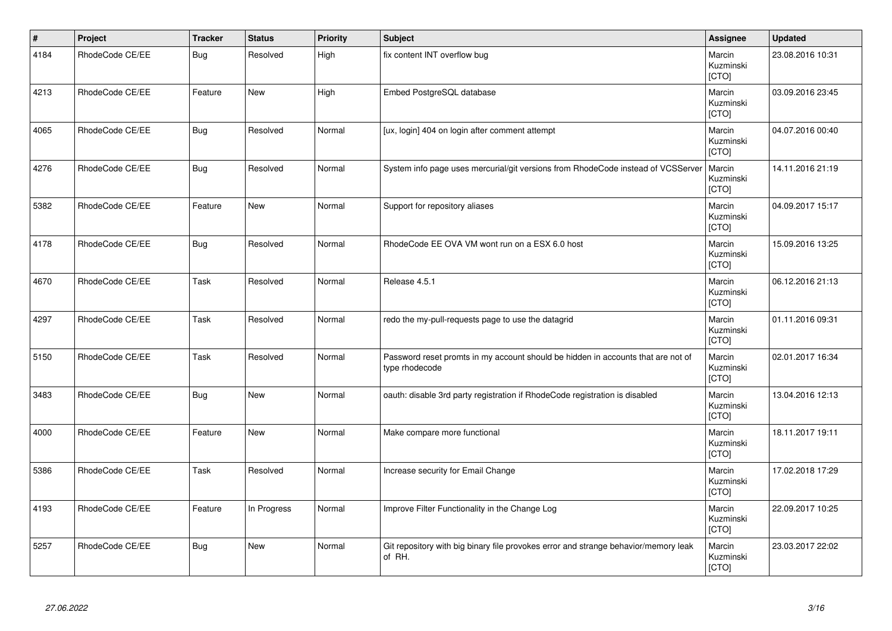| $\vert$ # | Project         | <b>Tracker</b> | <b>Status</b> | <b>Priority</b> | <b>Subject</b>                                                                                     | Assignee                     | <b>Updated</b>   |
|-----------|-----------------|----------------|---------------|-----------------|----------------------------------------------------------------------------------------------------|------------------------------|------------------|
| 4184      | RhodeCode CE/EE | Bug            | Resolved      | High            | fix content INT overflow bug                                                                       | Marcin<br>Kuzminski<br>[CTO] | 23.08.2016 10:31 |
| 4213      | RhodeCode CE/EE | Feature        | New           | High            | Embed PostgreSQL database                                                                          | Marcin<br>Kuzminski<br>[CTO] | 03.09.2016 23:45 |
| 4065      | RhodeCode CE/EE | <b>Bug</b>     | Resolved      | Normal          | [ux, login] 404 on login after comment attempt                                                     | Marcin<br>Kuzminski<br>[CTO] | 04.07.2016 00:40 |
| 4276      | RhodeCode CE/EE | <b>Bug</b>     | Resolved      | Normal          | System info page uses mercurial/git versions from RhodeCode instead of VCSServer                   | Marcin<br>Kuzminski<br>[CTO] | 14.11.2016 21:19 |
| 5382      | RhodeCode CE/EE | Feature        | <b>New</b>    | Normal          | Support for repository aliases                                                                     | Marcin<br>Kuzminski<br>[CTO] | 04.09.2017 15:17 |
| 4178      | RhodeCode CE/EE | <b>Bug</b>     | Resolved      | Normal          | RhodeCode EE OVA VM wont run on a ESX 6.0 host                                                     | Marcin<br>Kuzminski<br>[CTO] | 15.09.2016 13:25 |
| 4670      | RhodeCode CE/EE | Task           | Resolved      | Normal          | Release 4.5.1                                                                                      | Marcin<br>Kuzminski<br>[CTO] | 06.12.2016 21:13 |
| 4297      | RhodeCode CE/EE | Task           | Resolved      | Normal          | redo the my-pull-requests page to use the datagrid                                                 | Marcin<br>Kuzminski<br>[CTO] | 01.11.2016 09:31 |
| 5150      | RhodeCode CE/EE | Task           | Resolved      | Normal          | Password reset promts in my account should be hidden in accounts that are not of<br>type rhodecode | Marcin<br>Kuzminski<br>[CTO] | 02.01.2017 16:34 |
| 3483      | RhodeCode CE/EE | <b>Bug</b>     | New           | Normal          | oauth: disable 3rd party registration if RhodeCode registration is disabled                        | Marcin<br>Kuzminski<br>[CTO] | 13.04.2016 12:13 |
| 4000      | RhodeCode CE/EE | Feature        | <b>New</b>    | Normal          | Make compare more functional                                                                       | Marcin<br>Kuzminski<br>[CTO] | 18.11.2017 19:11 |
| 5386      | RhodeCode CE/EE | Task           | Resolved      | Normal          | Increase security for Email Change                                                                 | Marcin<br>Kuzminski<br>[CTO] | 17.02.2018 17:29 |
| 4193      | RhodeCode CE/EE | Feature        | In Progress   | Normal          | Improve Filter Functionality in the Change Log                                                     | Marcin<br>Kuzminski<br>[CTO] | 22.09.2017 10:25 |
| 5257      | RhodeCode CE/EE | <b>Bug</b>     | <b>New</b>    | Normal          | Git repository with big binary file provokes error and strange behavior/memory leak<br>of RH.      | Marcin<br>Kuzminski<br>[CTO] | 23.03.2017 22:02 |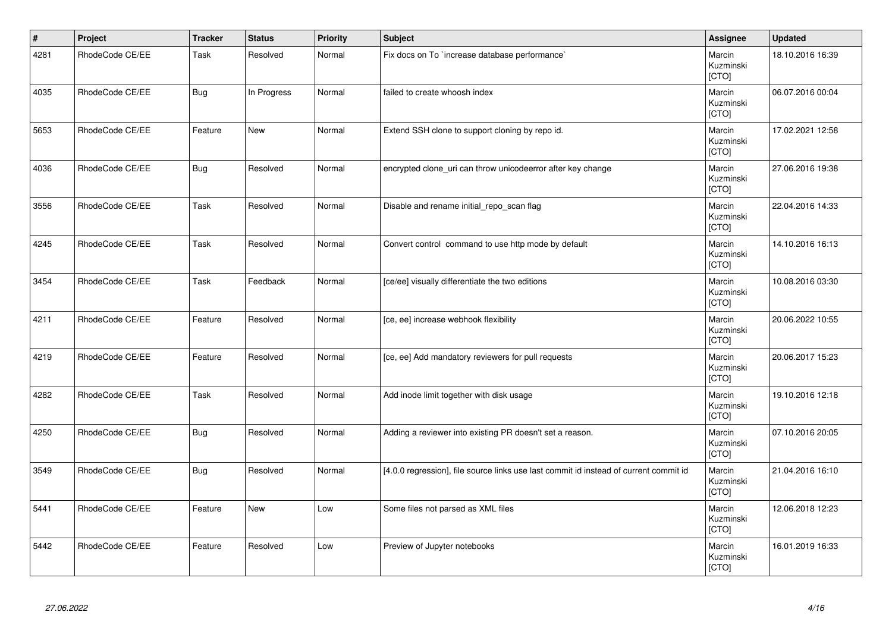| $\vert$ # | Project         | <b>Tracker</b> | <b>Status</b> | <b>Priority</b> | Subject                                                                               | Assignee                     | <b>Updated</b>   |
|-----------|-----------------|----------------|---------------|-----------------|---------------------------------------------------------------------------------------|------------------------------|------------------|
| 4281      | RhodeCode CE/EE | Task           | Resolved      | Normal          | Fix docs on To `increase database performance`                                        | Marcin<br>Kuzminski<br>[CTO] | 18.10.2016 16:39 |
| 4035      | RhodeCode CE/EE | <b>Bug</b>     | In Progress   | Normal          | failed to create whoosh index                                                         | Marcin<br>Kuzminski<br>[CTO] | 06.07.2016 00:04 |
| 5653      | RhodeCode CE/EE | Feature        | <b>New</b>    | Normal          | Extend SSH clone to support cloning by repo id.                                       | Marcin<br>Kuzminski<br>[CTO] | 17.02.2021 12:58 |
| 4036      | RhodeCode CE/EE | <b>Bug</b>     | Resolved      | Normal          | encrypted clone_uri can throw unicodeerror after key change                           | Marcin<br>Kuzminski<br>[CTO] | 27.06.2016 19:38 |
| 3556      | RhodeCode CE/EE | Task           | Resolved      | Normal          | Disable and rename initial_repo_scan flag                                             | Marcin<br>Kuzminski<br>[CTO] | 22.04.2016 14:33 |
| 4245      | RhodeCode CE/EE | Task           | Resolved      | Normal          | Convert control command to use http mode by default                                   | Marcin<br>Kuzminski<br>[CTO] | 14.10.2016 16:13 |
| 3454      | RhodeCode CE/EE | Task           | Feedback      | Normal          | [ce/ee] visually differentiate the two editions                                       | Marcin<br>Kuzminski<br>[CTO] | 10.08.2016 03:30 |
| 4211      | RhodeCode CE/EE | Feature        | Resolved      | Normal          | [ce, ee] increase webhook flexibility                                                 | Marcin<br>Kuzminski<br>[CTO] | 20.06.2022 10:55 |
| 4219      | RhodeCode CE/EE | Feature        | Resolved      | Normal          | [ce, ee] Add mandatory reviewers for pull requests                                    | Marcin<br>Kuzminski<br>[CTO] | 20.06.2017 15:23 |
| 4282      | RhodeCode CE/EE | Task           | Resolved      | Normal          | Add inode limit together with disk usage                                              | Marcin<br>Kuzminski<br>[CTO] | 19.10.2016 12:18 |
| 4250      | RhodeCode CE/EE | <b>Bug</b>     | Resolved      | Normal          | Adding a reviewer into existing PR doesn't set a reason.                              | Marcin<br>Kuzminski<br>[CTO] | 07.10.2016 20:05 |
| 3549      | RhodeCode CE/EE | <b>Bug</b>     | Resolved      | Normal          | [4.0.0 regression], file source links use last commit id instead of current commit id | Marcin<br>Kuzminski<br>[CTO] | 21.04.2016 16:10 |
| 5441      | RhodeCode CE/EE | Feature        | <b>New</b>    | Low             | Some files not parsed as XML files                                                    | Marcin<br>Kuzminski<br>[CTO] | 12.06.2018 12:23 |
| 5442      | RhodeCode CE/EE | Feature        | Resolved      | Low             | Preview of Jupyter notebooks                                                          | Marcin<br>Kuzminski<br>[CTO] | 16.01.2019 16:33 |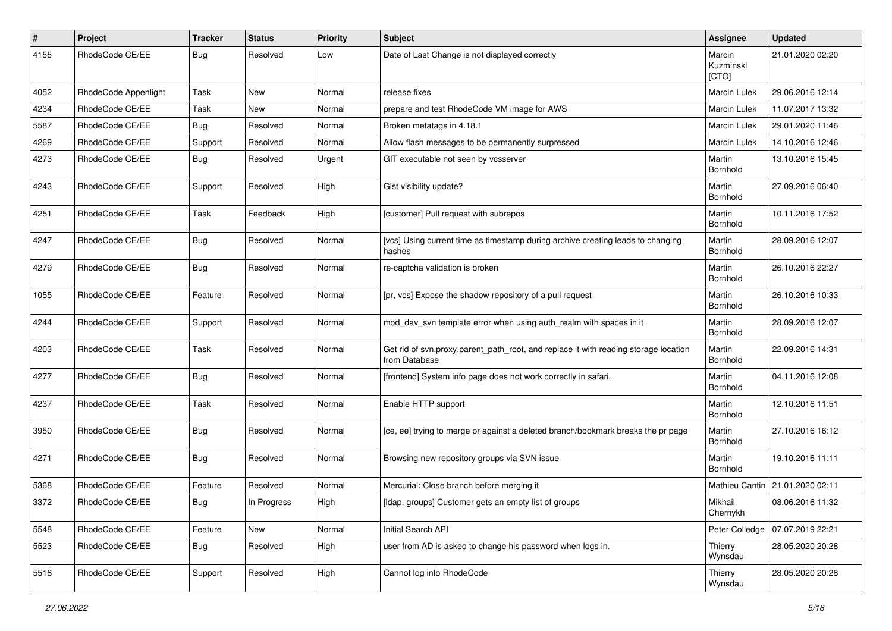| $\pmb{\#}$ | Project              | <b>Tracker</b> | <b>Status</b> | <b>Priority</b> | <b>Subject</b>                                                                                       | Assignee                     | <b>Updated</b>                    |
|------------|----------------------|----------------|---------------|-----------------|------------------------------------------------------------------------------------------------------|------------------------------|-----------------------------------|
| 4155       | RhodeCode CE/EE      | Bug            | Resolved      | Low             | Date of Last Change is not displayed correctly                                                       | Marcin<br>Kuzminski<br>[CTO] | 21.01.2020 02:20                  |
| 4052       | RhodeCode Appenlight | Task           | New           | Normal          | release fixes                                                                                        | Marcin Lulek                 | 29.06.2016 12:14                  |
| 4234       | RhodeCode CE/EE      | Task           | <b>New</b>    | Normal          | prepare and test RhodeCode VM image for AWS                                                          | Marcin Lulek                 | 11.07.2017 13:32                  |
| 5587       | RhodeCode CE/EE      | Bug            | Resolved      | Normal          | Broken metatags in 4.18.1                                                                            | Marcin Lulek                 | 29.01.2020 11:46                  |
| 4269       | RhodeCode CE/EE      | Support        | Resolved      | Normal          | Allow flash messages to be permanently surpressed                                                    | <b>Marcin Lulek</b>          | 14.10.2016 12:46                  |
| 4273       | RhodeCode CE/EE      | Bug            | Resolved      | Urgent          | GIT executable not seen by vcsserver                                                                 | Martin<br>Bornhold           | 13.10.2016 15:45                  |
| 4243       | RhodeCode CE/EE      | Support        | Resolved      | High            | Gist visibility update?                                                                              | Martin<br>Bornhold           | 27.09.2016 06:40                  |
| 4251       | RhodeCode CE/EE      | Task           | Feedback      | High            | [customer] Pull request with subrepos                                                                | Martin<br>Bornhold           | 10.11.2016 17:52                  |
| 4247       | RhodeCode CE/EE      | Bug            | Resolved      | Normal          | [vcs] Using current time as timestamp during archive creating leads to changing<br>hashes            | Martin<br>Bornhold           | 28.09.2016 12:07                  |
| 4279       | RhodeCode CE/EE      | Bug            | Resolved      | Normal          | re-captcha validation is broken                                                                      | Martin<br>Bornhold           | 26.10.2016 22:27                  |
| 1055       | RhodeCode CE/EE      | Feature        | Resolved      | Normal          | [pr, vcs] Expose the shadow repository of a pull request                                             | Martin<br>Bornhold           | 26.10.2016 10:33                  |
| 4244       | RhodeCode CE/EE      | Support        | Resolved      | Normal          | mod_dav_svn template error when using auth_realm with spaces in it                                   | Martin<br>Bornhold           | 28.09.2016 12:07                  |
| 4203       | RhodeCode CE/EE      | Task           | Resolved      | Normal          | Get rid of svn.proxy.parent_path_root, and replace it with reading storage location<br>from Database | Martin<br>Bornhold           | 22.09.2016 14:31                  |
| 4277       | RhodeCode CE/EE      | Bug            | Resolved      | Normal          | [frontend] System info page does not work correctly in safari.                                       | Martin<br>Bornhold           | 04.11.2016 12:08                  |
| 4237       | RhodeCode CE/EE      | Task           | Resolved      | Normal          | Enable HTTP support                                                                                  | Martin<br>Bornhold           | 12.10.2016 11:51                  |
| 3950       | RhodeCode CE/EE      | Bug            | Resolved      | Normal          | [ce, ee] trying to merge pr against a deleted branch/bookmark breaks the pr page                     | Martin<br>Bornhold           | 27.10.2016 16:12                  |
| 4271       | RhodeCode CE/EE      | Bug            | Resolved      | Normal          | Browsing new repository groups via SVN issue                                                         | Martin<br>Bornhold           | 19.10.2016 11:11                  |
| 5368       | RhodeCode CE/EE      | Feature        | Resolved      | Normal          | Mercurial: Close branch before merging it                                                            |                              | Mathieu Cantin   21.01.2020 02:11 |
| 3372       | RhodeCode CE/EE      | Bug            | In Progress   | High            | [Idap, groups] Customer gets an empty list of groups                                                 | Mikhail<br>Chernykh          | 08.06.2016 11:32                  |
| 5548       | RhodeCode CE/EE      | Feature        | New           | Normal          | Initial Search API                                                                                   | Peter Colledge               | 07.07.2019 22:21                  |
| 5523       | RhodeCode CE/EE      | Bug            | Resolved      | High            | user from AD is asked to change his password when logs in.                                           | Thierry<br>Wynsdau           | 28.05.2020 20:28                  |
| 5516       | RhodeCode CE/EE      | Support        | Resolved      | High            | Cannot log into RhodeCode                                                                            | Thierry<br>Wynsdau           | 28.05.2020 20:28                  |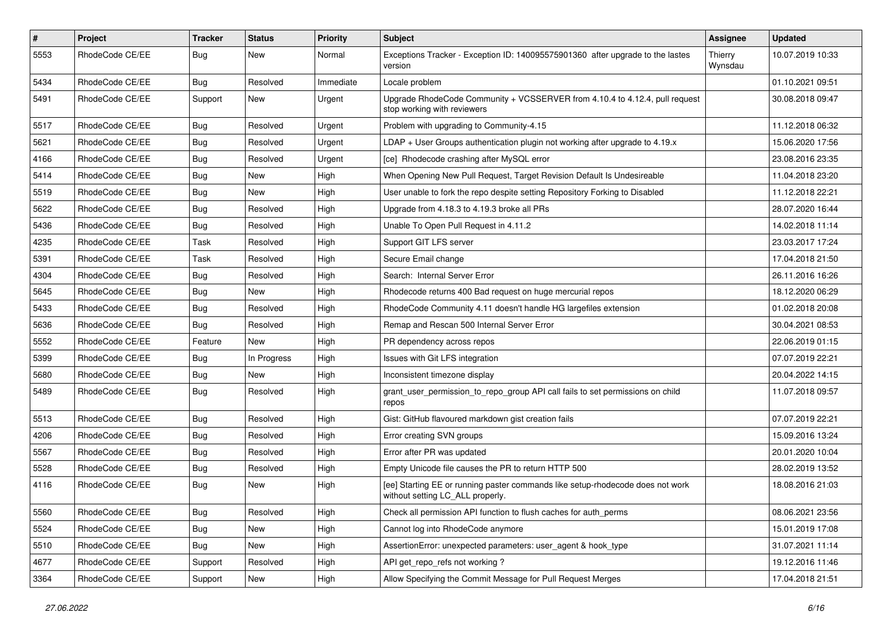| $\pmb{\#}$ | <b>Project</b>  | <b>Tracker</b> | <b>Status</b> | <b>Priority</b> | <b>Subject</b>                                                                                                     | <b>Assignee</b>    | <b>Updated</b>   |
|------------|-----------------|----------------|---------------|-----------------|--------------------------------------------------------------------------------------------------------------------|--------------------|------------------|
| 5553       | RhodeCode CE/EE | Bug            | New           | Normal          | Exceptions Tracker - Exception ID: 140095575901360 after upgrade to the lastes<br>version                          | Thierry<br>Wynsdau | 10.07.2019 10:33 |
| 5434       | RhodeCode CE/EE | <b>Bug</b>     | Resolved      | Immediate       | Locale problem                                                                                                     |                    | 01.10.2021 09:51 |
| 5491       | RhodeCode CE/EE | Support        | <b>New</b>    | Urgent          | Upgrade RhodeCode Community + VCSSERVER from 4.10.4 to 4.12.4, pull request<br>stop working with reviewers         |                    | 30.08.2018 09:47 |
| 5517       | RhodeCode CE/EE | Bug            | Resolved      | Urgent          | Problem with upgrading to Community-4.15                                                                           |                    | 11.12.2018 06:32 |
| 5621       | RhodeCode CE/EE | <b>Bug</b>     | Resolved      | Urgent          | $LDAP + User Groups authentication playing not working after upgrade to 4.19.x$                                    |                    | 15.06.2020 17:56 |
| 4166       | RhodeCode CE/EE | <b>Bug</b>     | Resolved      | Urgent          | [ce] Rhodecode crashing after MySQL error                                                                          |                    | 23.08.2016 23:35 |
| 5414       | RhodeCode CE/EE | Bug            | <b>New</b>    | High            | When Opening New Pull Request, Target Revision Default Is Undesireable                                             |                    | 11.04.2018 23:20 |
| 5519       | RhodeCode CE/EE | <b>Bug</b>     | <b>New</b>    | High            | User unable to fork the repo despite setting Repository Forking to Disabled                                        |                    | 11.12.2018 22:21 |
| 5622       | RhodeCode CE/EE | Bug            | Resolved      | High            | Upgrade from 4.18.3 to 4.19.3 broke all PRs                                                                        |                    | 28.07.2020 16:44 |
| 5436       | RhodeCode CE/EE | <b>Bug</b>     | Resolved      | High            | Unable To Open Pull Request in 4.11.2                                                                              |                    | 14.02.2018 11:14 |
| 4235       | RhodeCode CE/EE | Task           | Resolved      | High            | Support GIT LFS server                                                                                             |                    | 23.03.2017 17:24 |
| 5391       | RhodeCode CE/EE | Task           | Resolved      | High            | Secure Email change                                                                                                |                    | 17.04.2018 21:50 |
| 4304       | RhodeCode CE/EE | Bug            | Resolved      | High            | Search: Internal Server Error                                                                                      |                    | 26.11.2016 16:26 |
| 5645       | RhodeCode CE/EE | Bug            | New           | High            | Rhodecode returns 400 Bad request on huge mercurial repos                                                          |                    | 18.12.2020 06:29 |
| 5433       | RhodeCode CE/EE | <b>Bug</b>     | Resolved      | High            | RhodeCode Community 4.11 doesn't handle HG largefiles extension                                                    |                    | 01.02.2018 20:08 |
| 5636       | RhodeCode CE/EE | Bug            | Resolved      | High            | Remap and Rescan 500 Internal Server Error                                                                         |                    | 30.04.2021 08:53 |
| 5552       | RhodeCode CE/EE | Feature        | <b>New</b>    | High            | PR dependency across repos                                                                                         |                    | 22.06.2019 01:15 |
| 5399       | RhodeCode CE/EE | Bug            | In Progress   | High            | Issues with Git LFS integration                                                                                    |                    | 07.07.2019 22:21 |
| 5680       | RhodeCode CE/EE | Bug            | <b>New</b>    | High            | Inconsistent timezone display                                                                                      |                    | 20.04.2022 14:15 |
| 5489       | RhodeCode CE/EE | Bug            | Resolved      | High            | grant_user_permission_to_repo_group API call fails to set permissions on child<br>repos                            |                    | 11.07.2018 09:57 |
| 5513       | RhodeCode CE/EE | Bug            | Resolved      | High            | Gist: GitHub flavoured markdown gist creation fails                                                                |                    | 07.07.2019 22:21 |
| 4206       | RhodeCode CE/EE | <b>Bug</b>     | Resolved      | High            | Error creating SVN groups                                                                                          |                    | 15.09.2016 13:24 |
| 5567       | RhodeCode CE/EE | Bug            | Resolved      | High            | Error after PR was updated                                                                                         |                    | 20.01.2020 10:04 |
| 5528       | RhodeCode CE/EE | Bug            | Resolved      | High            | Empty Unicode file causes the PR to return HTTP 500                                                                |                    | 28.02.2019 13:52 |
| 4116       | RhodeCode CE/EE | Bug            | New           | High            | [ee] Starting EE or running paster commands like setup-rhodecode does not work<br>without setting LC ALL properly. |                    | 18.08.2016 21:03 |
| 5560       | RhodeCode CE/EE | Bug            | Resolved      | High            | Check all permission API function to flush caches for auth_perms                                                   |                    | 08.06.2021 23:56 |
| 5524       | RhodeCode CE/EE | Bug            | <b>New</b>    | High            | Cannot log into RhodeCode anymore                                                                                  |                    | 15.01.2019 17:08 |
| 5510       | RhodeCode CE/EE | <b>Bug</b>     | New           | High            | AssertionError: unexpected parameters: user_agent & hook_type                                                      |                    | 31.07.2021 11:14 |
| 4677       | RhodeCode CE/EE | Support        | Resolved      | High            | API get_repo_refs not working?                                                                                     |                    | 19.12.2016 11:46 |
| 3364       | RhodeCode CE/EE | Support        | New           | High            | Allow Specifying the Commit Message for Pull Request Merges                                                        |                    | 17.04.2018 21:51 |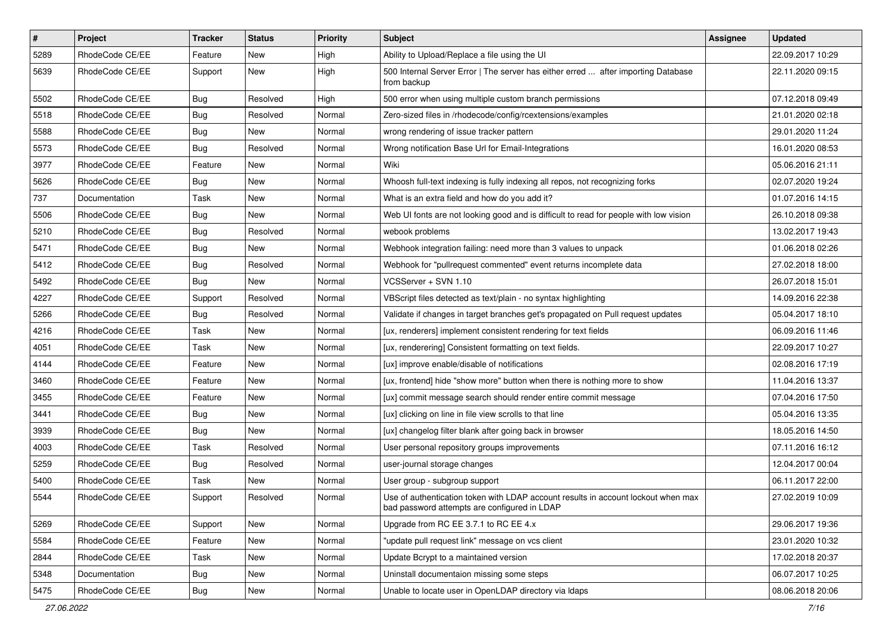| $\pmb{\#}$ | Project         | <b>Tracker</b> | <b>Status</b> | <b>Priority</b> | <b>Subject</b>                                                                                                                    | <b>Assignee</b> | <b>Updated</b>   |
|------------|-----------------|----------------|---------------|-----------------|-----------------------------------------------------------------------------------------------------------------------------------|-----------------|------------------|
| 5289       | RhodeCode CE/EE | Feature        | New           | High            | Ability to Upload/Replace a file using the UI                                                                                     |                 | 22.09.2017 10:29 |
| 5639       | RhodeCode CE/EE | Support        | New           | High            | 500 Internal Server Error   The server has either erred  after importing Database<br>from backup                                  |                 | 22.11.2020 09:15 |
| 5502       | RhodeCode CE/EE | Bug            | Resolved      | High            | 500 error when using multiple custom branch permissions                                                                           |                 | 07.12.2018 09:49 |
| 5518       | RhodeCode CE/EE | Bug            | Resolved      | Normal          | Zero-sized files in /rhodecode/config/rcextensions/examples                                                                       |                 | 21.01.2020 02:18 |
| 5588       | RhodeCode CE/EE | <b>Bug</b>     | New           | Normal          | wrong rendering of issue tracker pattern                                                                                          |                 | 29.01.2020 11:24 |
| 5573       | RhodeCode CE/EE | <b>Bug</b>     | Resolved      | Normal          | Wrong notification Base Url for Email-Integrations                                                                                |                 | 16.01.2020 08:53 |
| 3977       | RhodeCode CE/EE | Feature        | New           | Normal          | Wiki                                                                                                                              |                 | 05.06.2016 21:11 |
| 5626       | RhodeCode CE/EE | Bug            | New           | Normal          | Whoosh full-text indexing is fully indexing all repos, not recognizing forks                                                      |                 | 02.07.2020 19:24 |
| 737        | Documentation   | Task           | New           | Normal          | What is an extra field and how do you add it?                                                                                     |                 | 01.07.2016 14:15 |
| 5506       | RhodeCode CE/EE | <b>Bug</b>     | New           | Normal          | Web UI fonts are not looking good and is difficult to read for people with low vision                                             |                 | 26.10.2018 09:38 |
| 5210       | RhodeCode CE/EE | <b>Bug</b>     | Resolved      | Normal          | webook problems                                                                                                                   |                 | 13.02.2017 19:43 |
| 5471       | RhodeCode CE/EE | Bug            | New           | Normal          | Webhook integration failing: need more than 3 values to unpack                                                                    |                 | 01.06.2018 02:26 |
| 5412       | RhodeCode CE/EE | <b>Bug</b>     | Resolved      | Normal          | Webhook for "pullrequest commented" event returns incomplete data                                                                 |                 | 27.02.2018 18:00 |
| 5492       | RhodeCode CE/EE | <b>Bug</b>     | New           | Normal          | VCSServer + SVN 1.10                                                                                                              |                 | 26.07.2018 15:01 |
| 4227       | RhodeCode CE/EE | Support        | Resolved      | Normal          | VBScript files detected as text/plain - no syntax highlighting                                                                    |                 | 14.09.2016 22:38 |
| 5266       | RhodeCode CE/EE | Bug            | Resolved      | Normal          | Validate if changes in target branches get's propagated on Pull request updates                                                   |                 | 05.04.2017 18:10 |
| 4216       | RhodeCode CE/EE | Task           | New           | Normal          | [ux, renderers] implement consistent rendering for text fields                                                                    |                 | 06.09.2016 11:46 |
| 4051       | RhodeCode CE/EE | Task           | New           | Normal          | [ux, renderering] Consistent formatting on text fields.                                                                           |                 | 22.09.2017 10:27 |
| 4144       | RhodeCode CE/EE | Feature        | New           | Normal          | [ux] improve enable/disable of notifications                                                                                      |                 | 02.08.2016 17:19 |
| 3460       | RhodeCode CE/EE | Feature        | New           | Normal          | [ux, frontend] hide "show more" button when there is nothing more to show                                                         |                 | 11.04.2016 13:37 |
| 3455       | RhodeCode CE/EE | Feature        | <b>New</b>    | Normal          | [ux] commit message search should render entire commit message                                                                    |                 | 07.04.2016 17:50 |
| 3441       | RhodeCode CE/EE | Bug            | New           | Normal          | [ux] clicking on line in file view scrolls to that line                                                                           |                 | 05.04.2016 13:35 |
| 3939       | RhodeCode CE/EE | Bug            | New           | Normal          | [ux] changelog filter blank after going back in browser                                                                           |                 | 18.05.2016 14:50 |
| 4003       | RhodeCode CE/EE | Task           | Resolved      | Normal          | User personal repository groups improvements                                                                                      |                 | 07.11.2016 16:12 |
| 5259       | RhodeCode CE/EE | Bug            | Resolved      | Normal          | user-journal storage changes                                                                                                      |                 | 12.04.2017 00:04 |
| 5400       | RhodeCode CE/EE | Task           | New           | Normal          | User group - subgroup support                                                                                                     |                 | 06.11.2017 22:00 |
| 5544       | RhodeCode CE/EE | Support        | Resolved      | Normal          | Use of authentication token with LDAP account results in account lockout when max<br>bad password attempts are configured in LDAP |                 | 27.02.2019 10:09 |
| 5269       | RhodeCode CE/EE | Support        | New           | Normal          | Upgrade from RC EE 3.7.1 to RC EE 4.x                                                                                             |                 | 29.06.2017 19:36 |
| 5584       | RhodeCode CE/EE | Feature        | New           | Normal          | "update pull request link" message on vcs client                                                                                  |                 | 23.01.2020 10:32 |
| 2844       | RhodeCode CE/EE | Task           | New           | Normal          | Update Bcrypt to a maintained version                                                                                             |                 | 17.02.2018 20:37 |
| 5348       | Documentation   | <b>Bug</b>     | New           | Normal          | Uninstall documentaion missing some steps                                                                                         |                 | 06.07.2017 10:25 |
| 5475       | RhodeCode CE/EE | <b>Bug</b>     | New           | Normal          | Unable to locate user in OpenLDAP directory via Idaps                                                                             |                 | 08.06.2018 20:06 |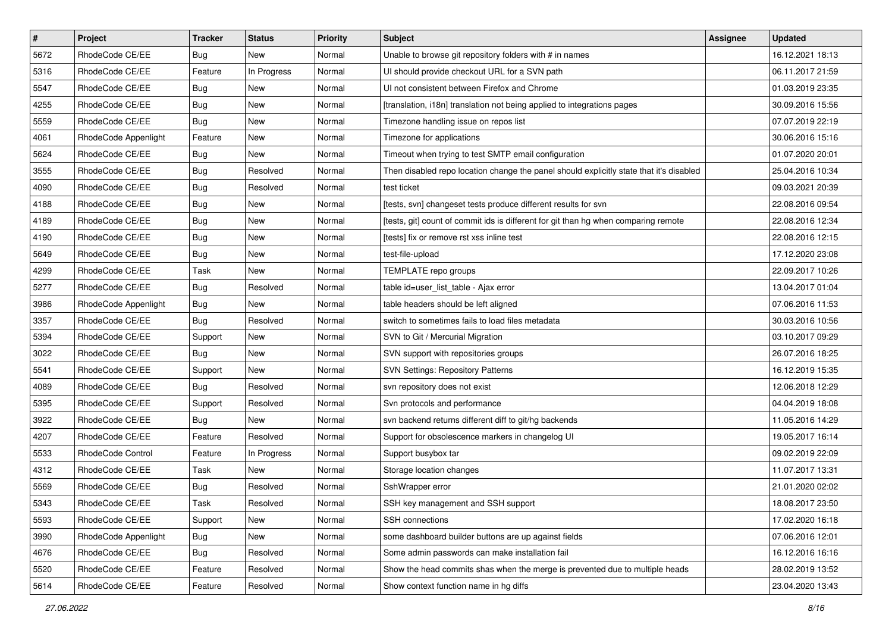| $\pmb{\#}$ | Project              | <b>Tracker</b> | <b>Status</b> | <b>Priority</b> | <b>Subject</b>                                                                          | <b>Assignee</b> | <b>Updated</b>   |
|------------|----------------------|----------------|---------------|-----------------|-----------------------------------------------------------------------------------------|-----------------|------------------|
| 5672       | RhodeCode CE/EE      | <b>Bug</b>     | New           | Normal          | Unable to browse git repository folders with # in names                                 |                 | 16.12.2021 18:13 |
| 5316       | RhodeCode CE/EE      | Feature        | In Progress   | Normal          | UI should provide checkout URL for a SVN path                                           |                 | 06.11.2017 21:59 |
| 5547       | RhodeCode CE/EE      | Bug            | New           | Normal          | UI not consistent between Firefox and Chrome                                            |                 | 01.03.2019 23:35 |
| 4255       | RhodeCode CE/EE      | <b>Bug</b>     | New           | Normal          | [translation, i18n] translation not being applied to integrations pages                 |                 | 30.09.2016 15:56 |
| 5559       | RhodeCode CE/EE      | Bug            | New           | Normal          | Timezone handling issue on repos list                                                   |                 | 07.07.2019 22:19 |
| 4061       | RhodeCode Appenlight | Feature        | New           | Normal          | Timezone for applications                                                               |                 | 30.06.2016 15:16 |
| 5624       | RhodeCode CE/EE      | Bug            | New           | Normal          | Timeout when trying to test SMTP email configuration                                    |                 | 01.07.2020 20:01 |
| 3555       | RhodeCode CE/EE      | Bug            | Resolved      | Normal          | Then disabled repo location change the panel should explicitly state that it's disabled |                 | 25.04.2016 10:34 |
| 4090       | RhodeCode CE/EE      | <b>Bug</b>     | Resolved      | Normal          | test ticket                                                                             |                 | 09.03.2021 20:39 |
| 4188       | RhodeCode CE/EE      | Bug            | New           | Normal          | [tests, svn] changeset tests produce different results for svn                          |                 | 22.08.2016 09:54 |
| 4189       | RhodeCode CE/EE      | Bug            | New           | Normal          | [tests, git] count of commit ids is different for git than hg when comparing remote     |                 | 22.08.2016 12:34 |
| 4190       | RhodeCode CE/EE      | <b>Bug</b>     | New           | Normal          | [tests] fix or remove rst xss inline test                                               |                 | 22.08.2016 12:15 |
| 5649       | RhodeCode CE/EE      | Bug            | <b>New</b>    | Normal          | test-file-upload                                                                        |                 | 17.12.2020 23:08 |
| 4299       | RhodeCode CE/EE      | Task           | New           | Normal          | TEMPLATE repo groups                                                                    |                 | 22.09.2017 10:26 |
| 5277       | RhodeCode CE/EE      | Bug            | Resolved      | Normal          | table id=user_list_table - Ajax error                                                   |                 | 13.04.2017 01:04 |
| 3986       | RhodeCode Appenlight | Bug            | New           | Normal          | table headers should be left aligned                                                    |                 | 07.06.2016 11:53 |
| 3357       | RhodeCode CE/EE      | Bug            | Resolved      | Normal          | switch to sometimes fails to load files metadata                                        |                 | 30.03.2016 10:56 |
| 5394       | RhodeCode CE/EE      | Support        | <b>New</b>    | Normal          | SVN to Git / Mercurial Migration                                                        |                 | 03.10.2017 09:29 |
| 3022       | RhodeCode CE/EE      | Bug            | New           | Normal          | SVN support with repositories groups                                                    |                 | 26.07.2016 18:25 |
| 5541       | RhodeCode CE/EE      | Support        | New           | Normal          | <b>SVN Settings: Repository Patterns</b>                                                |                 | 16.12.2019 15:35 |
| 4089       | RhodeCode CE/EE      | Bug            | Resolved      | Normal          | svn repository does not exist                                                           |                 | 12.06.2018 12:29 |
| 5395       | RhodeCode CE/EE      | Support        | Resolved      | Normal          | Svn protocols and performance                                                           |                 | 04.04.2019 18:08 |
| 3922       | RhodeCode CE/EE      | Bug            | <b>New</b>    | Normal          | svn backend returns different diff to git/hg backends                                   |                 | 11.05.2016 14:29 |
| 4207       | RhodeCode CE/EE      | Feature        | Resolved      | Normal          | Support for obsolescence markers in changelog UI                                        |                 | 19.05.2017 16:14 |
| 5533       | RhodeCode Control    | Feature        | In Progress   | Normal          | Support busybox tar                                                                     |                 | 09.02.2019 22:09 |
| 4312       | RhodeCode CE/EE      | Task           | <b>New</b>    | Normal          | Storage location changes                                                                |                 | 11.07.2017 13:31 |
| 5569       | RhodeCode CE/EE      | <b>Bug</b>     | Resolved      | Normal          | SshWrapper error                                                                        |                 | 21.01.2020 02:02 |
| 5343       | RhodeCode CE/EE      | Task           | Resolved      | Normal          | SSH key management and SSH support                                                      |                 | 18.08.2017 23:50 |
| 5593       | RhodeCode CE/EE      | Support        | New           | Normal          | SSH connections                                                                         |                 | 17.02.2020 16:18 |
| 3990       | RhodeCode Appenlight | Bug            | New           | Normal          | some dashboard builder buttons are up against fields                                    |                 | 07.06.2016 12:01 |
| 4676       | RhodeCode CE/EE      | Bug            | Resolved      | Normal          | Some admin passwords can make installation fail                                         |                 | 16.12.2016 16:16 |
| 5520       | RhodeCode CE/EE      | Feature        | Resolved      | Normal          | Show the head commits shas when the merge is prevented due to multiple heads            |                 | 28.02.2019 13:52 |
| 5614       | RhodeCode CE/EE      | Feature        | Resolved      | Normal          | Show context function name in hg diffs                                                  |                 | 23.04.2020 13:43 |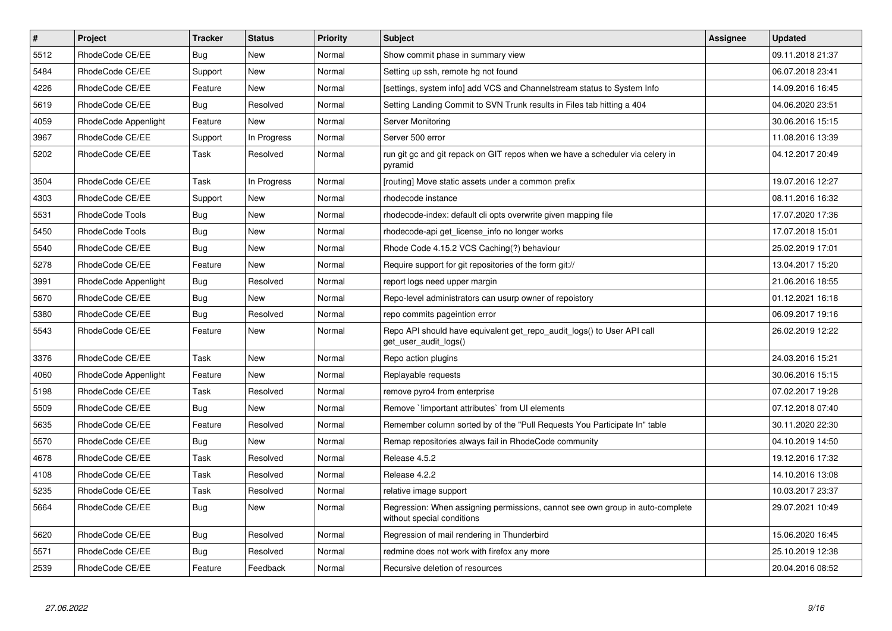| $\sharp$ | <b>Project</b>       | <b>Tracker</b> | <b>Status</b> | Priority | <b>Subject</b>                                                                                              | <b>Assignee</b> | <b>Updated</b>   |
|----------|----------------------|----------------|---------------|----------|-------------------------------------------------------------------------------------------------------------|-----------------|------------------|
| 5512     | RhodeCode CE/EE      | Bug            | New           | Normal   | Show commit phase in summary view                                                                           |                 | 09.11.2018 21:37 |
| 5484     | RhodeCode CE/EE      | Support        | <b>New</b>    | Normal   | Setting up ssh, remote hg not found                                                                         |                 | 06.07.2018 23:41 |
| 4226     | RhodeCode CE/EE      | Feature        | New           | Normal   | [settings, system info] add VCS and Channelstream status to System Info                                     |                 | 14.09.2016 16:45 |
| 5619     | RhodeCode CE/EE      | Bug            | Resolved      | Normal   | Setting Landing Commit to SVN Trunk results in Files tab hitting a 404                                      |                 | 04.06.2020 23:51 |
| 4059     | RhodeCode Appenlight | Feature        | <b>New</b>    | Normal   | <b>Server Monitoring</b>                                                                                    |                 | 30.06.2016 15:15 |
| 3967     | RhodeCode CE/EE      | Support        | In Progress   | Normal   | Server 500 error                                                                                            |                 | 11.08.2016 13:39 |
| 5202     | RhodeCode CE/EE      | Task           | Resolved      | Normal   | run git gc and git repack on GIT repos when we have a scheduler via celery in<br>pyramid                    |                 | 04.12.2017 20:49 |
| 3504     | RhodeCode CE/EE      | Task           | In Progress   | Normal   | [routing] Move static assets under a common prefix                                                          |                 | 19.07.2016 12:27 |
| 4303     | RhodeCode CE/EE      | Support        | New           | Normal   | rhodecode instance                                                                                          |                 | 08.11.2016 16:32 |
| 5531     | RhodeCode Tools      | Bug            | New           | Normal   | rhodecode-index: default cli opts overwrite given mapping file                                              |                 | 17.07.2020 17:36 |
| 5450     | RhodeCode Tools      | Bug            | New           | Normal   | rhodecode-api get license info no longer works                                                              |                 | 17.07.2018 15:01 |
| 5540     | RhodeCode CE/EE      | <b>Bug</b>     | New           | Normal   | Rhode Code 4.15.2 VCS Caching(?) behaviour                                                                  |                 | 25.02.2019 17:01 |
| 5278     | RhodeCode CE/EE      | Feature        | New           | Normal   | Require support for git repositories of the form git://                                                     |                 | 13.04.2017 15:20 |
| 3991     | RhodeCode Appenlight | <b>Bug</b>     | Resolved      | Normal   | report logs need upper margin                                                                               |                 | 21.06.2016 18:55 |
| 5670     | RhodeCode CE/EE      | <b>Bug</b>     | <b>New</b>    | Normal   | Repo-level administrators can usurp owner of repoistory                                                     |                 | 01.12.2021 16:18 |
| 5380     | RhodeCode CE/EE      | Bug            | Resolved      | Normal   | repo commits pageintion error                                                                               |                 | 06.09.2017 19:16 |
| 5543     | RhodeCode CE/EE      | Feature        | New           | Normal   | Repo API should have equivalent get_repo_audit_logs() to User API call<br>get user audit logs()             |                 | 26.02.2019 12:22 |
| 3376     | RhodeCode CE/EE      | Task           | New           | Normal   | Repo action plugins                                                                                         |                 | 24.03.2016 15:21 |
| 4060     | RhodeCode Appenlight | Feature        | <b>New</b>    | Normal   | Replayable requests                                                                                         |                 | 30.06.2016 15:15 |
| 5198     | RhodeCode CE/EE      | Task           | Resolved      | Normal   | remove pyro4 from enterprise                                                                                |                 | 07.02.2017 19:28 |
| 5509     | RhodeCode CE/EE      | <b>Bug</b>     | <b>New</b>    | Normal   | Remove `limportant attributes` from UI elements                                                             |                 | 07.12.2018 07:40 |
| 5635     | RhodeCode CE/EE      | Feature        | Resolved      | Normal   | Remember column sorted by of the "Pull Requests You Participate In" table                                   |                 | 30.11.2020 22:30 |
| 5570     | RhodeCode CE/EE      | Bug            | <b>New</b>    | Normal   | Remap repositories always fail in RhodeCode community                                                       |                 | 04.10.2019 14:50 |
| 4678     | RhodeCode CE/EE      | Task           | Resolved      | Normal   | Release 4.5.2                                                                                               |                 | 19.12.2016 17:32 |
| 4108     | RhodeCode CE/EE      | Task           | Resolved      | Normal   | Release 4.2.2                                                                                               |                 | 14.10.2016 13:08 |
| 5235     | RhodeCode CE/EE      | Task           | Resolved      | Normal   | relative image support                                                                                      |                 | 10.03.2017 23:37 |
| 5664     | RhodeCode CE/EE      | Bug            | New           | Normal   | Regression: When assigning permissions, cannot see own group in auto-complete<br>without special conditions |                 | 29.07.2021 10:49 |
| 5620     | RhodeCode CE/EE      | Bug            | Resolved      | Normal   | Regression of mail rendering in Thunderbird                                                                 |                 | 15.06.2020 16:45 |
| 5571     | RhodeCode CE/EE      | Bug            | Resolved      | Normal   | redmine does not work with firefox any more                                                                 |                 | 25.10.2019 12:38 |
| 2539     | RhodeCode CE/EE      | Feature        | Feedback      | Normal   | Recursive deletion of resources                                                                             |                 | 20.04.2016 08:52 |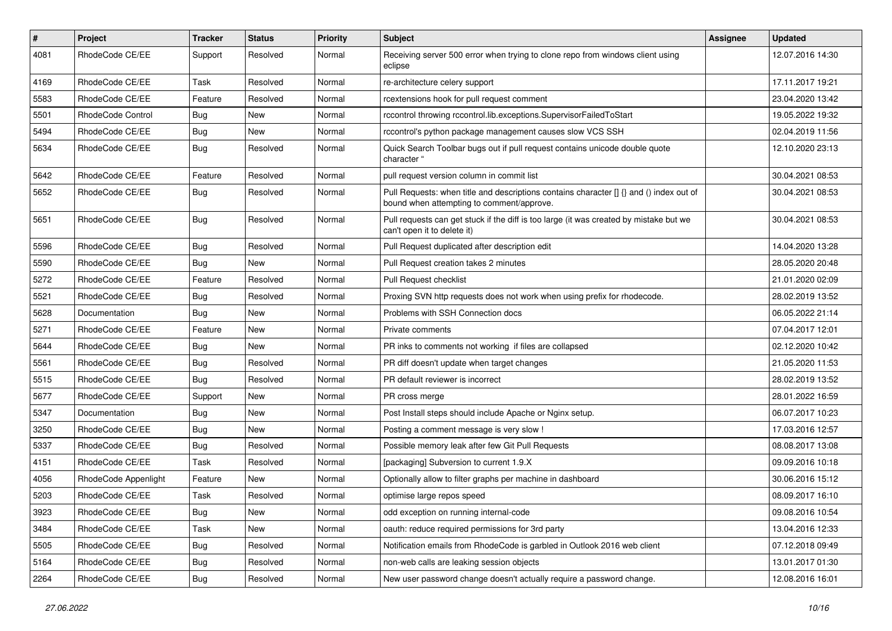| $\pmb{\#}$ | <b>Project</b>       | <b>Tracker</b> | <b>Status</b> | <b>Priority</b> | <b>Subject</b>                                                                                                                       | Assignee | <b>Updated</b>   |
|------------|----------------------|----------------|---------------|-----------------|--------------------------------------------------------------------------------------------------------------------------------------|----------|------------------|
| 4081       | RhodeCode CE/EE      | Support        | Resolved      | Normal          | Receiving server 500 error when trying to clone repo from windows client using<br>eclipse                                            |          | 12.07.2016 14:30 |
| 4169       | RhodeCode CE/EE      | Task           | Resolved      | Normal          | re-architecture celery support                                                                                                       |          | 17.11.2017 19:21 |
| 5583       | RhodeCode CE/EE      | Feature        | Resolved      | Normal          | rcextensions hook for pull request comment                                                                                           |          | 23.04.2020 13:42 |
| 5501       | RhodeCode Control    | Bug            | <b>New</b>    | Normal          | rccontrol throwing rccontrol.lib.exceptions.SupervisorFailedToStart                                                                  |          | 19.05.2022 19:32 |
| 5494       | RhodeCode CE/EE      | Bug            | <b>New</b>    | Normal          | rccontrol's python package management causes slow VCS SSH                                                                            |          | 02.04.2019 11:56 |
| 5634       | RhodeCode CE/EE      | Bug            | Resolved      | Normal          | Quick Search Toolbar bugs out if pull request contains unicode double quote<br>character "                                           |          | 12.10.2020 23:13 |
| 5642       | RhodeCode CE/EE      | Feature        | Resolved      | Normal          | pull request version column in commit list                                                                                           |          | 30.04.2021 08:53 |
| 5652       | RhodeCode CE/EE      | <b>Bug</b>     | Resolved      | Normal          | Pull Requests: when title and descriptions contains character [] {} and () index out of<br>bound when attempting to comment/approve. |          | 30.04.2021 08:53 |
| 5651       | RhodeCode CE/EE      | Bug            | Resolved      | Normal          | Pull requests can get stuck if the diff is too large (it was created by mistake but we<br>can't open it to delete it)                |          | 30.04.2021 08:53 |
| 5596       | RhodeCode CE/EE      | Bug            | Resolved      | Normal          | Pull Request duplicated after description edit                                                                                       |          | 14.04.2020 13:28 |
| 5590       | RhodeCode CE/EE      | Bug            | New           | Normal          | Pull Request creation takes 2 minutes                                                                                                |          | 28.05.2020 20:48 |
| 5272       | RhodeCode CE/EE      | Feature        | Resolved      | Normal          | <b>Pull Request checklist</b>                                                                                                        |          | 21.01.2020 02:09 |
| 5521       | RhodeCode CE/EE      | Bug            | Resolved      | Normal          | Proxing SVN http requests does not work when using prefix for rhodecode.                                                             |          | 28.02.2019 13:52 |
| 5628       | Documentation        | Bug            | <b>New</b>    | Normal          | Problems with SSH Connection docs                                                                                                    |          | 06.05.2022 21:14 |
| 5271       | RhodeCode CE/EE      | Feature        | New           | Normal          | Private comments                                                                                                                     |          | 07.04.2017 12:01 |
| 5644       | RhodeCode CE/EE      | <b>Bug</b>     | New           | Normal          | PR inks to comments not working if files are collapsed                                                                               |          | 02.12.2020 10:42 |
| 5561       | RhodeCode CE/EE      | Bug            | Resolved      | Normal          | PR diff doesn't update when target changes                                                                                           |          | 21.05.2020 11:53 |
| 5515       | RhodeCode CE/EE      | Bug            | Resolved      | Normal          | PR default reviewer is incorrect                                                                                                     |          | 28.02.2019 13:52 |
| 5677       | RhodeCode CE/EE      | Support        | <b>New</b>    | Normal          | PR cross merge                                                                                                                       |          | 28.01.2022 16:59 |
| 5347       | Documentation        | <b>Bug</b>     | New           | Normal          | Post Install steps should include Apache or Nginx setup.                                                                             |          | 06.07.2017 10:23 |
| 3250       | RhodeCode CE/EE      | Bug            | New           | Normal          | Posting a comment message is very slow !                                                                                             |          | 17.03.2016 12:57 |
| 5337       | RhodeCode CE/EE      | Bug            | Resolved      | Normal          | Possible memory leak after few Git Pull Requests                                                                                     |          | 08.08.2017 13:08 |
| 4151       | RhodeCode CE/EE      | Task           | Resolved      | Normal          | [packaging] Subversion to current 1.9.X                                                                                              |          | 09.09.2016 10:18 |
| 4056       | RhodeCode Appenlight | Feature        | New           | Normal          | Optionally allow to filter graphs per machine in dashboard                                                                           |          | 30.06.2016 15:12 |
| 5203       | RhodeCode CE/EE      | Task           | Resolved      | Normal          | optimise large repos speed                                                                                                           |          | 08.09.2017 16:10 |
| 3923       | RhodeCode CE/EE      | Bug            | New           | Normal          | odd exception on running internal-code                                                                                               |          | 09.08.2016 10:54 |
| 3484       | RhodeCode CE/EE      | Task           | New           | Normal          | oauth: reduce required permissions for 3rd party                                                                                     |          | 13.04.2016 12:33 |
| 5505       | RhodeCode CE/EE      | <b>Bug</b>     | Resolved      | Normal          | Notification emails from RhodeCode is garbled in Outlook 2016 web client                                                             |          | 07.12.2018 09:49 |
| 5164       | RhodeCode CE/EE      | <b>Bug</b>     | Resolved      | Normal          | non-web calls are leaking session objects                                                                                            |          | 13.01.2017 01:30 |
| 2264       | RhodeCode CE/EE      | Bug            | Resolved      | Normal          | New user password change doesn't actually require a password change.                                                                 |          | 12.08.2016 16:01 |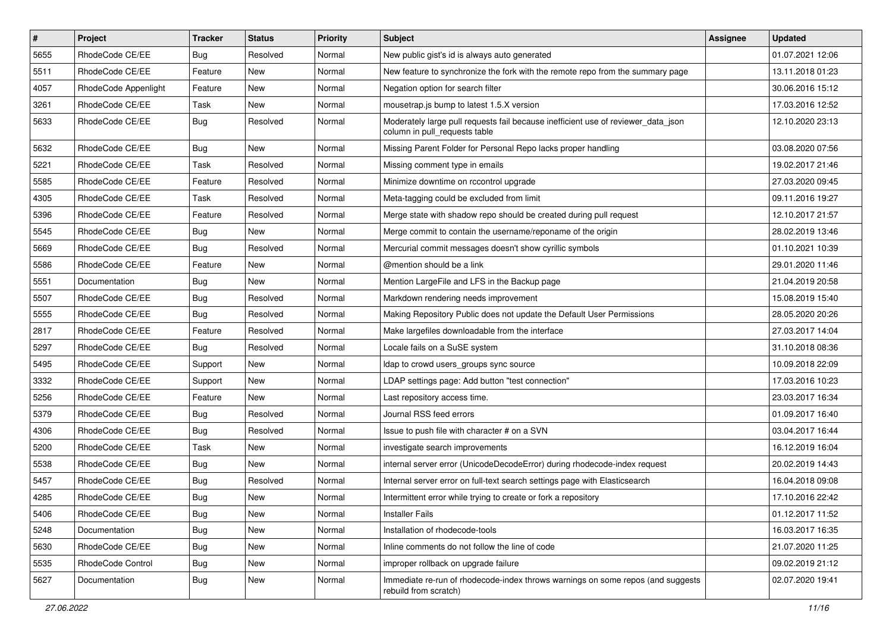| $\pmb{\#}$ | Project              | <b>Tracker</b> | <b>Status</b> | <b>Priority</b> | <b>Subject</b>                                                                                                     | <b>Assignee</b> | <b>Updated</b>   |
|------------|----------------------|----------------|---------------|-----------------|--------------------------------------------------------------------------------------------------------------------|-----------------|------------------|
| 5655       | RhodeCode CE/EE      | Bug            | Resolved      | Normal          | New public gist's id is always auto generated                                                                      |                 | 01.07.2021 12:06 |
| 5511       | RhodeCode CE/EE      | Feature        | <b>New</b>    | Normal          | New feature to synchronize the fork with the remote repo from the summary page                                     |                 | 13.11.2018 01:23 |
| 4057       | RhodeCode Appenlight | Feature        | New           | Normal          | Negation option for search filter                                                                                  |                 | 30.06.2016 15:12 |
| 3261       | RhodeCode CE/EE      | Task           | New           | Normal          | mousetrap.js bump to latest 1.5.X version                                                                          |                 | 17.03.2016 12:52 |
| 5633       | RhodeCode CE/EE      | Bug            | Resolved      | Normal          | Moderately large pull requests fail because inefficient use of reviewer_data_json<br>column in pull requests table |                 | 12.10.2020 23:13 |
| 5632       | RhodeCode CE/EE      | Bug            | <b>New</b>    | Normal          | Missing Parent Folder for Personal Repo lacks proper handling                                                      |                 | 03.08.2020 07:56 |
| 5221       | RhodeCode CE/EE      | Task           | Resolved      | Normal          | Missing comment type in emails                                                                                     |                 | 19.02.2017 21:46 |
| 5585       | RhodeCode CE/EE      | Feature        | Resolved      | Normal          | Minimize downtime on rccontrol upgrade                                                                             |                 | 27.03.2020 09:45 |
| 4305       | RhodeCode CE/EE      | Task           | Resolved      | Normal          | Meta-tagging could be excluded from limit                                                                          |                 | 09.11.2016 19:27 |
| 5396       | RhodeCode CE/EE      | Feature        | Resolved      | Normal          | Merge state with shadow repo should be created during pull request                                                 |                 | 12.10.2017 21:57 |
| 5545       | RhodeCode CE/EE      | Bug            | New           | Normal          | Merge commit to contain the username/reponame of the origin                                                        |                 | 28.02.2019 13:46 |
| 5669       | RhodeCode CE/EE      | Bug            | Resolved      | Normal          | Mercurial commit messages doesn't show cyrillic symbols                                                            |                 | 01.10.2021 10:39 |
| 5586       | RhodeCode CE/EE      | Feature        | <b>New</b>    | Normal          | @mention should be a link                                                                                          |                 | 29.01.2020 11:46 |
| 5551       | Documentation        | Bug            | <b>New</b>    | Normal          | Mention LargeFile and LFS in the Backup page                                                                       |                 | 21.04.2019 20:58 |
| 5507       | RhodeCode CE/EE      | Bug            | Resolved      | Normal          | Markdown rendering needs improvement                                                                               |                 | 15.08.2019 15:40 |
| 5555       | RhodeCode CE/EE      | Bug            | Resolved      | Normal          | Making Repository Public does not update the Default User Permissions                                              |                 | 28.05.2020 20:26 |
| 2817       | RhodeCode CE/EE      | Feature        | Resolved      | Normal          | Make largefiles downloadable from the interface                                                                    |                 | 27.03.2017 14:04 |
| 5297       | RhodeCode CE/EE      | Bug            | Resolved      | Normal          | Locale fails on a SuSE system                                                                                      |                 | 31.10.2018 08:36 |
| 5495       | RhodeCode CE/EE      | Support        | New           | Normal          | Idap to crowd users_groups sync source                                                                             |                 | 10.09.2018 22:09 |
| 3332       | RhodeCode CE/EE      | Support        | New           | Normal          | LDAP settings page: Add button "test connection"                                                                   |                 | 17.03.2016 10:23 |
| 5256       | RhodeCode CE/EE      | Feature        | <b>New</b>    | Normal          | Last repository access time.                                                                                       |                 | 23.03.2017 16:34 |
| 5379       | RhodeCode CE/EE      | Bug            | Resolved      | Normal          | Journal RSS feed errors                                                                                            |                 | 01.09.2017 16:40 |
| 4306       | RhodeCode CE/EE      | Bug            | Resolved      | Normal          | Issue to push file with character # on a SVN                                                                       |                 | 03.04.2017 16:44 |
| 5200       | RhodeCode CE/EE      | Task           | New           | Normal          | investigate search improvements                                                                                    |                 | 16.12.2019 16:04 |
| 5538       | RhodeCode CE/EE      | Bug            | New           | Normal          | internal server error (UnicodeDecodeError) during rhodecode-index request                                          |                 | 20.02.2019 14:43 |
| 5457       | RhodeCode CE/EE      | Bug            | Resolved      | Normal          | Internal server error on full-text search settings page with Elasticsearch                                         |                 | 16.04.2018 09:08 |
| 4285       | RhodeCode CE/EE      | Bug            | New           | Normal          | Intermittent error while trying to create or fork a repository                                                     |                 | 17.10.2016 22:42 |
| 5406       | RhodeCode CE/EE      | <b>Bug</b>     | New           | Normal          | <b>Installer Fails</b>                                                                                             |                 | 01.12.2017 11:52 |
| 5248       | Documentation        | Bug            | New           | Normal          | Installation of rhodecode-tools                                                                                    |                 | 16.03.2017 16:35 |
| 5630       | RhodeCode CE/EE      | Bug            | New           | Normal          | Inline comments do not follow the line of code                                                                     |                 | 21.07.2020 11:25 |
| 5535       | RhodeCode Control    | Bug            | New           | Normal          | improper rollback on upgrade failure                                                                               |                 | 09.02.2019 21:12 |
| 5627       | Documentation        | Bug            | New           | Normal          | Immediate re-run of rhodecode-index throws warnings on some repos (and suggests<br>rebuild from scratch)           |                 | 02.07.2020 19:41 |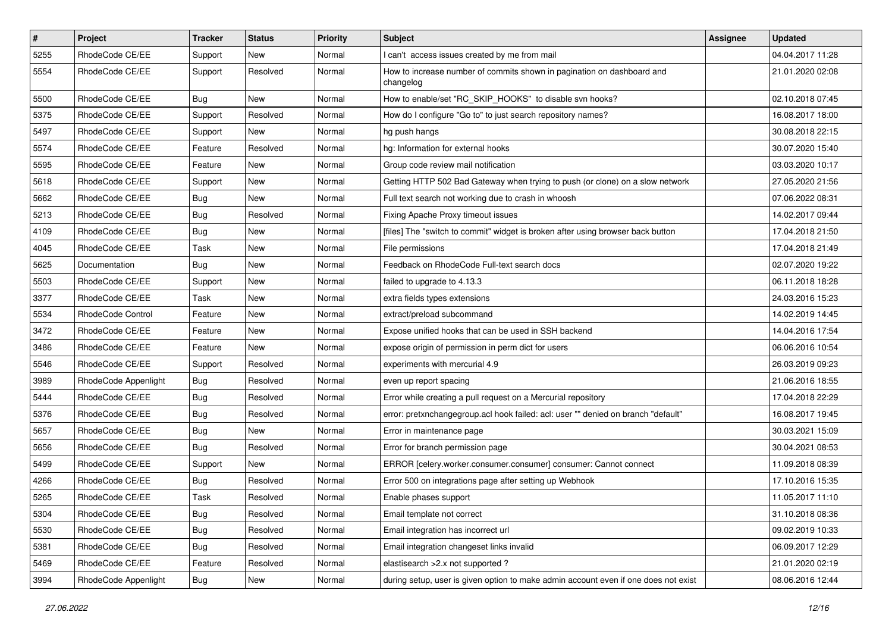| $\vert$ # | Project                  | Tracker    | <b>Status</b> | <b>Priority</b> | Subject                                                                             | Assignee | <b>Updated</b>   |
|-----------|--------------------------|------------|---------------|-----------------|-------------------------------------------------------------------------------------|----------|------------------|
| 5255      | RhodeCode CE/EE          | Support    | New           | Normal          | I can't access issues created by me from mail                                       |          | 04.04.2017 11:28 |
| 5554      | RhodeCode CE/EE          | Support    | Resolved      | Normal          | How to increase number of commits shown in pagination on dashboard and<br>changelog |          | 21.01.2020 02:08 |
| 5500      | RhodeCode CE/EE          | <b>Bug</b> | <b>New</b>    | Normal          | How to enable/set "RC_SKIP_HOOKS" to disable svn hooks?                             |          | 02.10.2018 07:45 |
| 5375      | RhodeCode CE/EE          | Support    | Resolved      | Normal          | How do I configure "Go to" to just search repository names?                         |          | 16.08.2017 18:00 |
| 5497      | RhodeCode CE/EE          | Support    | New           | Normal          | hg push hangs                                                                       |          | 30.08.2018 22:15 |
| 5574      | RhodeCode CE/EE          | Feature    | Resolved      | Normal          | hg: Information for external hooks                                                  |          | 30.07.2020 15:40 |
| 5595      | RhodeCode CE/EE          | Feature    | New           | Normal          | Group code review mail notification                                                 |          | 03.03.2020 10:17 |
| 5618      | RhodeCode CE/EE          | Support    | New           | Normal          | Getting HTTP 502 Bad Gateway when trying to push (or clone) on a slow network       |          | 27.05.2020 21:56 |
| 5662      | RhodeCode CE/EE          | <b>Bug</b> | New           | Normal          | Full text search not working due to crash in whoosh                                 |          | 07.06.2022 08:31 |
| 5213      | RhodeCode CE/EE          | Bug        | Resolved      | Normal          | Fixing Apache Proxy timeout issues                                                  |          | 14.02.2017 09:44 |
| 4109      | RhodeCode CE/EE          | <b>Bug</b> | New           | Normal          | [files] The "switch to commit" widget is broken after using browser back button     |          | 17.04.2018 21:50 |
| 4045      | RhodeCode CE/EE          | Task       | <b>New</b>    | Normal          | File permissions                                                                    |          | 17.04.2018 21:49 |
| 5625      | Documentation            | Bug        | New           | Normal          | Feedback on RhodeCode Full-text search docs                                         |          | 02.07.2020 19:22 |
| 5503      | RhodeCode CE/EE          | Support    | New           | Normal          | failed to upgrade to 4.13.3                                                         |          | 06.11.2018 18:28 |
| 3377      | RhodeCode CE/EE          | Task       | New           | Normal          | extra fields types extensions                                                       |          | 24.03.2016 15:23 |
| 5534      | <b>RhodeCode Control</b> | Feature    | New           | Normal          | extract/preload subcommand                                                          |          | 14.02.2019 14:45 |
| 3472      | RhodeCode CE/EE          | Feature    | New           | Normal          | Expose unified hooks that can be used in SSH backend                                |          | 14.04.2016 17:54 |
| 3486      | RhodeCode CE/EE          | Feature    | New           | Normal          | expose origin of permission in perm dict for users                                  |          | 06.06.2016 10:54 |
| 5546      | RhodeCode CE/EE          | Support    | Resolved      | Normal          | experiments with mercurial 4.9                                                      |          | 26.03.2019 09:23 |
| 3989      | RhodeCode Appenlight     | <b>Bug</b> | Resolved      | Normal          | even up report spacing                                                              |          | 21.06.2016 18:55 |
| 5444      | RhodeCode CE/EE          | <b>Bug</b> | Resolved      | Normal          | Error while creating a pull request on a Mercurial repository                       |          | 17.04.2018 22:29 |
| 5376      | RhodeCode CE/EE          | <b>Bug</b> | Resolved      | Normal          | error: pretxnchangegroup.acl hook failed: acl: user "" denied on branch "default"   |          | 16.08.2017 19:45 |
| 5657      | RhodeCode CE/EE          | <b>Bug</b> | New           | Normal          | Error in maintenance page                                                           |          | 30.03.2021 15:09 |
| 5656      | RhodeCode CE/EE          | Bug        | Resolved      | Normal          | Error for branch permission page                                                    |          | 30.04.2021 08:53 |
| 5499      | RhodeCode CE/EE          | Support    | <b>New</b>    | Normal          | ERROR [celery.worker.consumer.consumer] consumer: Cannot connect                    |          | 11.09.2018 08:39 |
| 4266      | RhodeCode CE/EE          | <b>Bug</b> | Resolved      | Normal          | Error 500 on integrations page after setting up Webhook                             |          | 17.10.2016 15:35 |
| 5265      | RhodeCode CE/EE          | Task       | Resolved      | Normal          | Enable phases support                                                               |          | 11.05.2017 11:10 |
| 5304      | RhodeCode CE/EE          | Bug        | Resolved      | Normal          | Email template not correct                                                          |          | 31.10.2018 08:36 |
| 5530      | RhodeCode CE/EE          | <b>Bug</b> | Resolved      | Normal          | Email integration has incorrect url                                                 |          | 09.02.2019 10:33 |
| 5381      | RhodeCode CE/EE          | Bug        | Resolved      | Normal          | Email integration changeset links invalid                                           |          | 06.09.2017 12:29 |
| 5469      | RhodeCode CE/EE          | Feature    | Resolved      | Normal          | elastisearch > 2.x not supported ?                                                  |          | 21.01.2020 02:19 |
| 3994      | RhodeCode Appenlight     | <b>Bug</b> | New           | Normal          | during setup, user is given option to make admin account even if one does not exist |          | 08.06.2016 12:44 |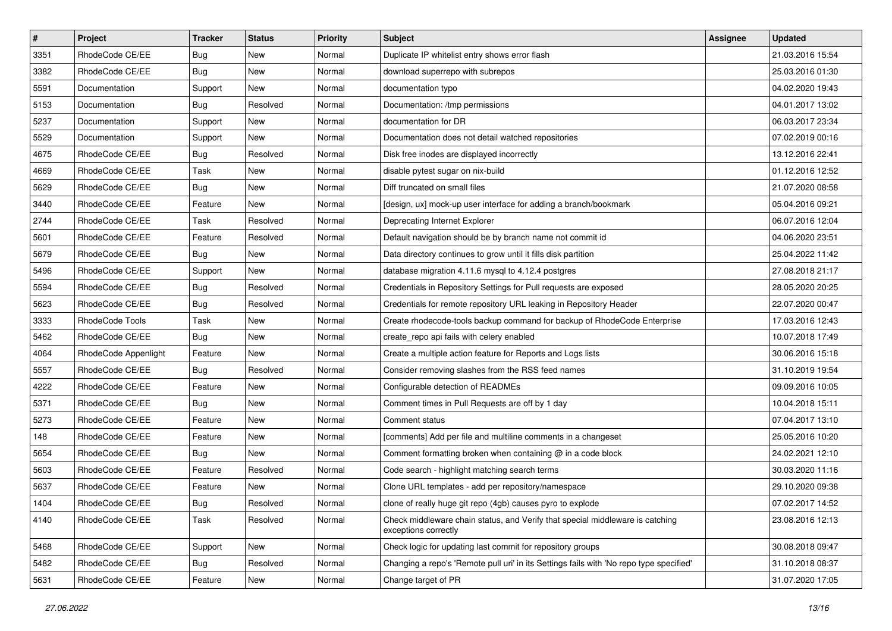| $\pmb{\#}$ | <b>Project</b>       | <b>Tracker</b> | <b>Status</b> | <b>Priority</b> | <b>Subject</b>                                                                                        | Assignee | <b>Updated</b>   |
|------------|----------------------|----------------|---------------|-----------------|-------------------------------------------------------------------------------------------------------|----------|------------------|
| 3351       | RhodeCode CE/EE      | <b>Bug</b>     | New           | Normal          | Duplicate IP whitelist entry shows error flash                                                        |          | 21.03.2016 15:54 |
| 3382       | RhodeCode CE/EE      | Bug            | <b>New</b>    | Normal          | download superrepo with subrepos                                                                      |          | 25.03.2016 01:30 |
| 5591       | Documentation        | Support        | New           | Normal          | documentation typo                                                                                    |          | 04.02.2020 19:43 |
| 5153       | Documentation        | Bug            | Resolved      | Normal          | Documentation: /tmp permissions                                                                       |          | 04.01.2017 13:02 |
| 5237       | Documentation        | Support        | <b>New</b>    | Normal          | documentation for DR                                                                                  |          | 06.03.2017 23:34 |
| 5529       | Documentation        | Support        | New           | Normal          | Documentation does not detail watched repositories                                                    |          | 07.02.2019 00:16 |
| 4675       | RhodeCode CE/EE      | Bug            | Resolved      | Normal          | Disk free inodes are displayed incorrectly                                                            |          | 13.12.2016 22:41 |
| 4669       | RhodeCode CE/EE      | Task           | New           | Normal          | disable pytest sugar on nix-build                                                                     |          | 01.12.2016 12:52 |
| 5629       | RhodeCode CE/EE      | Bug            | New           | Normal          | Diff truncated on small files                                                                         |          | 21.07.2020 08:58 |
| 3440       | RhodeCode CE/EE      | Feature        | <b>New</b>    | Normal          | [design, ux] mock-up user interface for adding a branch/bookmark                                      |          | 05.04.2016 09:21 |
| 2744       | RhodeCode CE/EE      | Task           | Resolved      | Normal          | Deprecating Internet Explorer                                                                         |          | 06.07.2016 12:04 |
| 5601       | RhodeCode CE/EE      | Feature        | Resolved      | Normal          | Default navigation should be by branch name not commit id                                             |          | 04.06.2020 23:51 |
| 5679       | RhodeCode CE/EE      | Bug            | New           | Normal          | Data directory continues to grow until it fills disk partition                                        |          | 25.04.2022 11:42 |
| 5496       | RhodeCode CE/EE      | Support        | New           | Normal          | database migration 4.11.6 mysql to 4.12.4 postgres                                                    |          | 27.08.2018 21:17 |
| 5594       | RhodeCode CE/EE      | Bug            | Resolved      | Normal          | Credentials in Repository Settings for Pull requests are exposed                                      |          | 28.05.2020 20:25 |
| 5623       | RhodeCode CE/EE      | Bug            | Resolved      | Normal          | Credentials for remote repository URL leaking in Repository Header                                    |          | 22.07.2020 00:47 |
| 3333       | RhodeCode Tools      | Task           | New           | Normal          | Create rhodecode-tools backup command for backup of RhodeCode Enterprise                              |          | 17.03.2016 12:43 |
| 5462       | RhodeCode CE/EE      | Bug            | <b>New</b>    | Normal          | create_repo api fails with celery enabled                                                             |          | 10.07.2018 17:49 |
| 4064       | RhodeCode Appenlight | Feature        | New           | Normal          | Create a multiple action feature for Reports and Logs lists                                           |          | 30.06.2016 15:18 |
| 5557       | RhodeCode CE/EE      | Bug            | Resolved      | Normal          | Consider removing slashes from the RSS feed names                                                     |          | 31.10.2019 19:54 |
| 4222       | RhodeCode CE/EE      | Feature        | New           | Normal          | Configurable detection of READMEs                                                                     |          | 09.09.2016 10:05 |
| 5371       | RhodeCode CE/EE      | <b>Bug</b>     | New           | Normal          | Comment times in Pull Requests are off by 1 day                                                       |          | 10.04.2018 15:11 |
| 5273       | RhodeCode CE/EE      | Feature        | <b>New</b>    | Normal          | Comment status                                                                                        |          | 07.04.2017 13:10 |
| 148        | RhodeCode CE/EE      | Feature        | New           | Normal          | [comments] Add per file and multiline comments in a changeset                                         |          | 25.05.2016 10:20 |
| 5654       | RhodeCode CE/EE      | Bug            | New           | Normal          | Comment formatting broken when containing @ in a code block                                           |          | 24.02.2021 12:10 |
| 5603       | RhodeCode CE/EE      | Feature        | Resolved      | Normal          | Code search - highlight matching search terms                                                         |          | 30.03.2020 11:16 |
| 5637       | RhodeCode CE/EE      | Feature        | New           | Normal          | Clone URL templates - add per repository/namespace                                                    |          | 29.10.2020 09:38 |
| 1404       | RhodeCode CE/EE      | Bug            | Resolved      | Normal          | clone of really huge git repo (4gb) causes pyro to explode                                            |          | 07.02.2017 14:52 |
| 4140       | RhodeCode CE/EE      | Task           | Resolved      | Normal          | Check middleware chain status, and Verify that special middleware is catching<br>exceptions correctly |          | 23.08.2016 12:13 |
| 5468       | RhodeCode CE/EE      | Support        | New           | Normal          | Check logic for updating last commit for repository groups                                            |          | 30.08.2018 09:47 |
| 5482       | RhodeCode CE/EE      | Bug            | Resolved      | Normal          | Changing a repo's 'Remote pull uri' in its Settings fails with 'No repo type specified'               |          | 31.10.2018 08:37 |
| 5631       | RhodeCode CE/EE      | Feature        | New           | Normal          | Change target of PR                                                                                   |          | 31.07.2020 17:05 |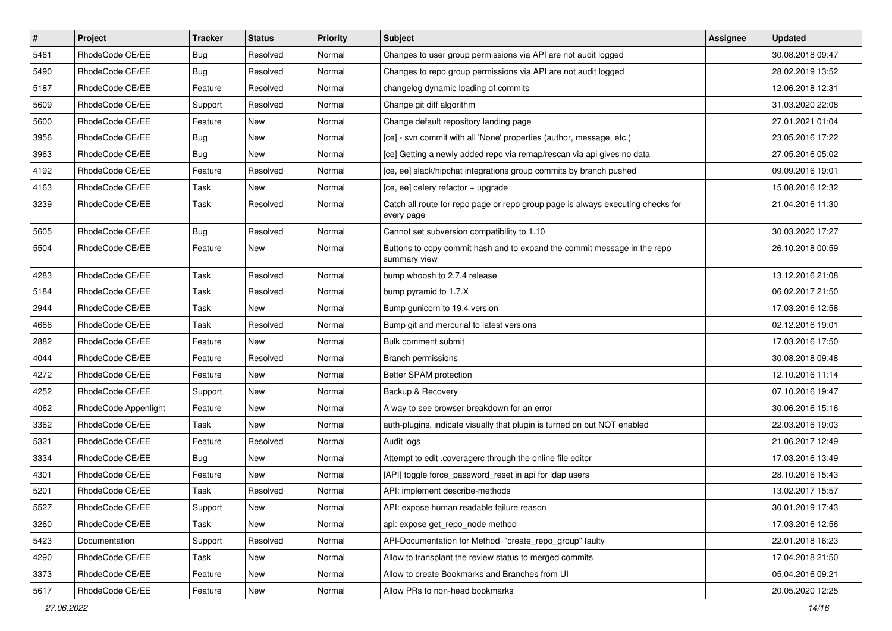| $\pmb{\#}$ | Project              | <b>Tracker</b> | <b>Status</b> | <b>Priority</b> | Subject                                                                                       | <b>Assignee</b> | <b>Updated</b>   |
|------------|----------------------|----------------|---------------|-----------------|-----------------------------------------------------------------------------------------------|-----------------|------------------|
| 5461       | RhodeCode CE/EE      | <b>Bug</b>     | Resolved      | Normal          | Changes to user group permissions via API are not audit logged                                |                 | 30.08.2018 09:47 |
| 5490       | RhodeCode CE/EE      | Bug            | Resolved      | Normal          | Changes to repo group permissions via API are not audit logged                                |                 | 28.02.2019 13:52 |
| 5187       | RhodeCode CE/EE      | Feature        | Resolved      | Normal          | changelog dynamic loading of commits                                                          |                 | 12.06.2018 12:31 |
| 5609       | RhodeCode CE/EE      | Support        | Resolved      | Normal          | Change git diff algorithm                                                                     |                 | 31.03.2020 22:08 |
| 5600       | RhodeCode CE/EE      | Feature        | <b>New</b>    | Normal          | Change default repository landing page                                                        |                 | 27.01.2021 01:04 |
| 3956       | RhodeCode CE/EE      | Bug            | New           | Normal          | [ce] - svn commit with all 'None' properties (author, message, etc.)                          |                 | 23.05.2016 17:22 |
| 3963       | RhodeCode CE/EE      | Bug            | New           | Normal          | [ce] Getting a newly added repo via remap/rescan via api gives no data                        |                 | 27.05.2016 05:02 |
| 4192       | RhodeCode CE/EE      | Feature        | Resolved      | Normal          | [ce, ee] slack/hipchat integrations group commits by branch pushed                            |                 | 09.09.2016 19:01 |
| 4163       | RhodeCode CE/EE      | Task           | New           | Normal          | [ce, ee] celery refactor + upgrade                                                            |                 | 15.08.2016 12:32 |
| 3239       | RhodeCode CE/EE      | Task           | Resolved      | Normal          | Catch all route for repo page or repo group page is always executing checks for<br>every page |                 | 21.04.2016 11:30 |
| 5605       | RhodeCode CE/EE      | Bug            | Resolved      | Normal          | Cannot set subversion compatibility to 1.10                                                   |                 | 30.03.2020 17:27 |
| 5504       | RhodeCode CE/EE      | Feature        | <b>New</b>    | Normal          | Buttons to copy commit hash and to expand the commit message in the repo<br>summary view      |                 | 26.10.2018 00:59 |
| 4283       | RhodeCode CE/EE      | Task           | Resolved      | Normal          | bump whoosh to 2.7.4 release                                                                  |                 | 13.12.2016 21:08 |
| 5184       | RhodeCode CE/EE      | Task           | Resolved      | Normal          | bump pyramid to 1.7.X                                                                         |                 | 06.02.2017 21:50 |
| 2944       | RhodeCode CE/EE      | Task           | New           | Normal          | Bump gunicorn to 19.4 version                                                                 |                 | 17.03.2016 12:58 |
| 4666       | RhodeCode CE/EE      | Task           | Resolved      | Normal          | Bump git and mercurial to latest versions                                                     |                 | 02.12.2016 19:01 |
| 2882       | RhodeCode CE/EE      | Feature        | New           | Normal          | Bulk comment submit                                                                           |                 | 17.03.2016 17:50 |
| 4044       | RhodeCode CE/EE      | Feature        | Resolved      | Normal          | <b>Branch permissions</b>                                                                     |                 | 30.08.2018 09:48 |
| 4272       | RhodeCode CE/EE      | Feature        | New           | Normal          | Better SPAM protection                                                                        |                 | 12.10.2016 11:14 |
| 4252       | RhodeCode CE/EE      | Support        | New           | Normal          | Backup & Recovery                                                                             |                 | 07.10.2016 19:47 |
| 4062       | RhodeCode Appenlight | Feature        | New           | Normal          | A way to see browser breakdown for an error                                                   |                 | 30.06.2016 15:16 |
| 3362       | RhodeCode CE/EE      | Task           | New           | Normal          | auth-plugins, indicate visually that plugin is turned on but NOT enabled                      |                 | 22.03.2016 19:03 |
| 5321       | RhodeCode CE/EE      | Feature        | Resolved      | Normal          | Audit logs                                                                                    |                 | 21.06.2017 12:49 |
| 3334       | RhodeCode CE/EE      | Bug            | <b>New</b>    | Normal          | Attempt to edit .coveragerc through the online file editor                                    |                 | 17.03.2016 13:49 |
| 4301       | RhodeCode CE/EE      | Feature        | New           | Normal          | [API] toggle force password reset in api for Idap users                                       |                 | 28.10.2016 15:43 |
| 5201       | RhodeCode CE/EE      | Task           | Resolved      | Normal          | API: implement describe-methods                                                               |                 | 13.02.2017 15:57 |
| 5527       | RhodeCode CE/EE      | Support        | New           | Normal          | API: expose human readable failure reason                                                     |                 | 30.01.2019 17:43 |
| 3260       | RhodeCode CE/EE      | Task           | New           | Normal          | api: expose get_repo_node method                                                              |                 | 17.03.2016 12:56 |
| 5423       | Documentation        | Support        | Resolved      | Normal          | API-Documentation for Method "create_repo_group" faulty                                       |                 | 22.01.2018 16:23 |
| 4290       | RhodeCode CE/EE      | Task           | New           | Normal          | Allow to transplant the review status to merged commits                                       |                 | 17.04.2018 21:50 |
| 3373       | RhodeCode CE/EE      | Feature        | New           | Normal          | Allow to create Bookmarks and Branches from UI                                                |                 | 05.04.2016 09:21 |
| 5617       | RhodeCode CE/EE      | Feature        | New           | Normal          | Allow PRs to non-head bookmarks                                                               |                 | 20.05.2020 12:25 |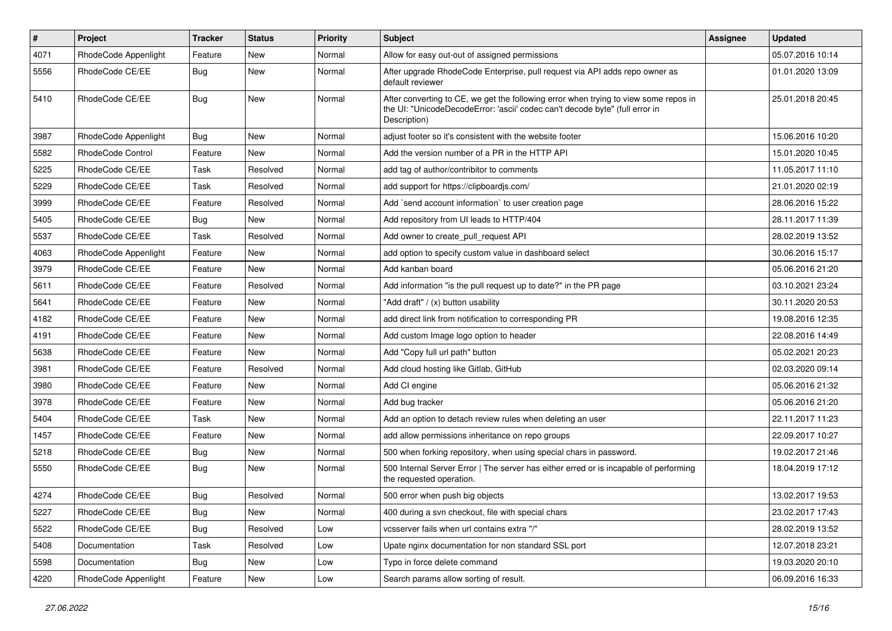| $\pmb{\#}$ | Project              | <b>Tracker</b> | <b>Status</b> | <b>Priority</b> | <b>Subject</b>                                                                                                                                                                       | Assignee | <b>Updated</b>   |
|------------|----------------------|----------------|---------------|-----------------|--------------------------------------------------------------------------------------------------------------------------------------------------------------------------------------|----------|------------------|
| 4071       | RhodeCode Appenlight | Feature        | New           | Normal          | Allow for easy out-out of assigned permissions                                                                                                                                       |          | 05.07.2016 10:14 |
| 5556       | RhodeCode CE/EE      | <b>Bug</b>     | New           | Normal          | After upgrade RhodeCode Enterprise, pull request via API adds repo owner as<br>default reviewer                                                                                      |          | 01.01.2020 13:09 |
| 5410       | RhodeCode CE/EE      | <b>Bug</b>     | <b>New</b>    | Normal          | After converting to CE, we get the following error when trying to view some repos in<br>the UI: "UnicodeDecodeError: 'ascii' codec can't decode byte" (full error in<br>Description) |          | 25.01.2018 20:45 |
| 3987       | RhodeCode Appenlight | Bug            | <b>New</b>    | Normal          | adjust footer so it's consistent with the website footer                                                                                                                             |          | 15.06.2016 10:20 |
| 5582       | RhodeCode Control    | Feature        | <b>New</b>    | Normal          | Add the version number of a PR in the HTTP API                                                                                                                                       |          | 15.01.2020 10:45 |
| 5225       | RhodeCode CE/EE      | Task           | Resolved      | Normal          | add tag of author/contribitor to comments                                                                                                                                            |          | 11.05.2017 11:10 |
| 5229       | RhodeCode CE/EE      | Task           | Resolved      | Normal          | add support for https://clipboardjs.com/                                                                                                                                             |          | 21.01.2020 02:19 |
| 3999       | RhodeCode CE/EE      | Feature        | Resolved      | Normal          | Add `send account information` to user creation page                                                                                                                                 |          | 28.06.2016 15:22 |
| 5405       | RhodeCode CE/EE      | Bug            | New           | Normal          | Add repository from UI leads to HTTP/404                                                                                                                                             |          | 28.11.2017 11:39 |
| 5537       | RhodeCode CE/EE      | Task           | Resolved      | Normal          | Add owner to create_pull_request API                                                                                                                                                 |          | 28.02.2019 13:52 |
| 4063       | RhodeCode Appenlight | Feature        | New           | Normal          | add option to specify custom value in dashboard select                                                                                                                               |          | 30.06.2016 15:17 |
| 3979       | RhodeCode CE/EE      | Feature        | <b>New</b>    | Normal          | Add kanban board                                                                                                                                                                     |          | 05.06.2016 21:20 |
| 5611       | RhodeCode CE/EE      | Feature        | Resolved      | Normal          | Add information "is the pull request up to date?" in the PR page                                                                                                                     |          | 03.10.2021 23:24 |
| 5641       | RhodeCode CE/EE      | Feature        | <b>New</b>    | Normal          | "Add draft" / (x) button usability                                                                                                                                                   |          | 30.11.2020 20:53 |
| 4182       | RhodeCode CE/EE      | Feature        | <b>New</b>    | Normal          | add direct link from notification to corresponding PR                                                                                                                                |          | 19.08.2016 12:35 |
| 4191       | RhodeCode CE/EE      | Feature        | <b>New</b>    | Normal          | Add custom Image logo option to header                                                                                                                                               |          | 22.08.2016 14:49 |
| 5638       | RhodeCode CE/EE      | Feature        | <b>New</b>    | Normal          | Add "Copy full url path" button                                                                                                                                                      |          | 05.02.2021 20:23 |
| 3981       | RhodeCode CE/EE      | Feature        | Resolved      | Normal          | Add cloud hosting like Gitlab, GitHub                                                                                                                                                |          | 02.03.2020 09:14 |
| 3980       | RhodeCode CE/EE      | Feature        | New           | Normal          | Add CI engine                                                                                                                                                                        |          | 05.06.2016 21:32 |
| 3978       | RhodeCode CE/EE      | Feature        | <b>New</b>    | Normal          | Add bug tracker                                                                                                                                                                      |          | 05.06.2016 21:20 |
| 5404       | RhodeCode CE/EE      | Task           | New           | Normal          | Add an option to detach review rules when deleting an user                                                                                                                           |          | 22.11.2017 11:23 |
| 1457       | RhodeCode CE/EE      | Feature        | New           | Normal          | add allow permissions inheritance on repo groups                                                                                                                                     |          | 22.09.2017 10:27 |
| 5218       | RhodeCode CE/EE      | Bug            | <b>New</b>    | Normal          | 500 when forking repository, when using special chars in password.                                                                                                                   |          | 19.02.2017 21:46 |
| 5550       | RhodeCode CE/EE      | Bug            | New           | Normal          | 500 Internal Server Error   The server has either erred or is incapable of performing<br>the requested operation.                                                                    |          | 18.04.2019 17:12 |
| 4274       | RhodeCode CE/EE      | Bug            | Resolved      | Normal          | 500 error when push big objects                                                                                                                                                      |          | 13.02.2017 19:53 |
| 5227       | RhodeCode CE/EE      | <b>Bug</b>     | New           | Normal          | 400 during a svn checkout, file with special chars                                                                                                                                   |          | 23.02.2017 17:43 |
| 5522       | RhodeCode CE/EE      | Bug            | Resolved      | Low             | vcsserver fails when url contains extra "/"                                                                                                                                          |          | 28.02.2019 13:52 |
| 5408       | Documentation        | Task           | Resolved      | Low             | Upate nginx documentation for non standard SSL port                                                                                                                                  |          | 12.07.2018 23:21 |
| 5598       | Documentation        | Bug            | New           | Low             | Typo in force delete command                                                                                                                                                         |          | 19.03.2020 20:10 |
| 4220       | RhodeCode Appenlight | Feature        | New           | Low             | Search params allow sorting of result.                                                                                                                                               |          | 06.09.2016 16:33 |